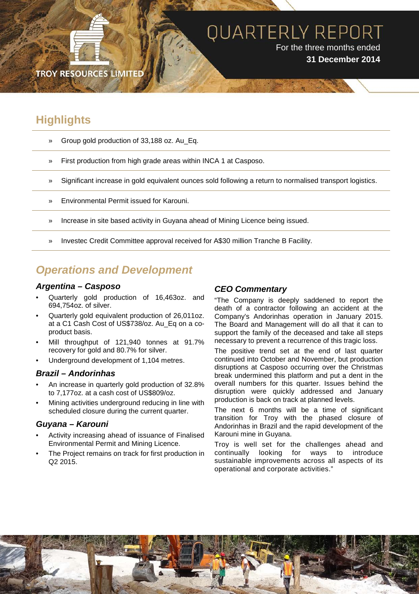## **QUARTERLY REPORT** For the three months ended **31 December 2014**

**TROY RESOURCES LIMITE** 

## **Highlights**

- » Group gold production of 33,188 oz. Au\_Eq.
- » First production from high grade areas within INCA 1 at Casposo.
- » Significant increase in gold equivalent ounces sold following a return to normalised transport logistics.
- » Environmental Permit issued for Karouni.
- » Increase in site based activity in Guyana ahead of Mining Licence being issued.
- » Investec Credit Committee approval received for A\$30 million Tranche B Facility.

### *Operations and Development*

#### *Argentina – Casposo*

- Quarterly gold production of 16,463oz. and 694,754oz. of silver.
- Quarterly gold equivalent production of 26,011oz. at a C1 Cash Cost of US\$738/oz. Au\_Eq on a coproduct basis.
- Mill throughput of 121,940 tonnes at 91.7% recovery for gold and 80.7% for silver.
- Underground development of 1,104 metres.

#### *Brazil – Andorinhas*

- An increase in quarterly gold production of 32.8% to 7,177oz. at a cash cost of US\$809/oz.
- Mining activities underground reducing in line with scheduled closure during the current quarter.

#### *Guyana – Karouni*

- Activity increasing ahead of issuance of Finalised Environmental Permit and Mining Licence.
- The Project remains on track for first production in Q2 2015.

#### *CEO Commentary*

"The Company is deeply saddened to report the death of a contractor following an accident at the Company's Andorinhas operation in January 2015. The Board and Management will do all that it can to support the family of the deceased and take all steps necessary to prevent a recurrence of this tragic loss.

The positive trend set at the end of last quarter continued into October and November, but production disruptions at Casposo occurring over the Christmas break undermined this platform and put a dent in the overall numbers for this quarter. Issues behind the disruption were quickly addressed and January production is back on track at planned levels.

The next 6 months will be a time of significant transition for Troy with the phased closure of Andorinhas in Brazil and the rapid development of the Karouni mine in Guyana.

Troy is well set for the challenges ahead and continually looking for ways to introduce sustainable improvements across all aspects of its operational and corporate activities."

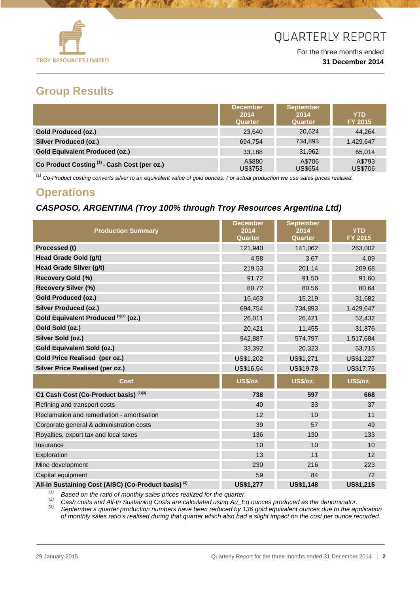

For the three months ended **31 December 2014**

### **Group Results**

|                                                         | <b>December</b><br>2014<br>Quarter | <b>September</b><br>2014<br>Quarter | <b>YTD</b><br><b>FY 2015</b> |
|---------------------------------------------------------|------------------------------------|-------------------------------------|------------------------------|
| <b>Gold Produced (oz.)</b>                              | 23.640                             | 20,624                              | 44.264                       |
| <b>Silver Produced (oz.)</b>                            | 694,754                            | 734.893                             | 1,429,647                    |
| <b>Gold Equivalent Produced (oz.)</b>                   | 33.188                             | 31,962                              | 65.014                       |
| Co Product Costing <sup>(1)</sup> - Cash Cost (per oz.) | A\$880<br><b>US\$753</b>           | A\$706<br><b>US\$654</b>            | A\$793<br>US\$706            |

*(1) Co-Product costing converts silver to an equivalent value of gold ounces. For actual production we use sales prices realised.*

## **Operations**

### *CASPOSO, ARGENTINA (Troy 100% through Troy Resources Argentina Ltd)*

| <b>Production Summary</b>                                       | <b>December</b><br>2014<br>Quarter | <b>September</b><br>2014<br>Quarter | <b>YTD</b><br>FY 2015 |
|-----------------------------------------------------------------|------------------------------------|-------------------------------------|-----------------------|
| Processed (t)                                                   | 121,940                            | 141,062                             | 263,002               |
| Head Grade Gold (g/t)                                           | 4.58                               | 3.67                                | 4.09                  |
| Head Grade Silver (g/t)                                         | 219.53                             | 201.14                              | 209.68                |
| <b>Recovery Gold (%)</b>                                        | 91.72                              | 91.50                               | 91.60                 |
| <b>Recovery Silver (%)</b>                                      | 80.72                              | 80.56                               | 80.64                 |
| <b>Gold Produced (oz.)</b>                                      | 16,463                             | 15,219                              | 31,682                |
| <b>Silver Produced (oz.)</b>                                    | 694,754                            | 734,893                             | 1,429,647             |
| Gold Equivalent Produced (1)(3) (oz.)                           | 26,011                             | 26,421                              | 52,432                |
| Gold Sold (oz.)                                                 | 20,421                             | 11,455                              | 31,876                |
| Silver Sold (oz.)                                               | 942,887                            | 574,797                             | 1,517,684             |
| <b>Gold Equivalent Sold (oz.)</b>                               | 33,392                             | 20,323                              | 53,715                |
| Gold Price Realised (per oz.)                                   | US\$1,202                          | US\$1,271                           | US\$1,227             |
| <b>Silver Price Realised (per oz.)</b>                          | US\$16.54                          | US\$19.78                           | US\$17.76             |
| Cost                                                            | <b>US\$/oz.</b>                    | <b>US\$/oz.</b>                     | <b>US\$/oz.</b>       |
| C1 Cash Cost (Co-Product basis) (2)(3)                          | 738                                | 597                                 | 668                   |
| Refining and transport costs                                    | 40                                 | 33                                  | 37                    |
| Reclamation and remediation - amortisation                      | 12                                 | 10                                  | 11                    |
| Corporate general & administration costs                        | 39                                 | 57                                  | 49                    |
| Royalties, export tax and local taxes                           | 136                                | 130                                 | 133                   |
| Insurance                                                       | 10                                 | 10                                  | 10                    |
| Exploration                                                     | 13                                 | 11                                  | 12                    |
| Mine development                                                | 230                                | 216                                 | 223                   |
| Capital equipment                                               | 59                                 | 84                                  | 72                    |
| All-In Sustaining Cost (AISC) (Co-Product basis) <sup>(2)</sup> | <b>US\$1,277</b>                   | <b>US\$1.148</b>                    | <b>US\$1.215</b>      |

<sup>(1)</sup> Based on the ratio of monthly sales prices realized for the quarter.<br><sup>(2)</sup> Cash costs and All-In Sustaining Costs are calculated using Au\_Eq ounces produced as the denominator.<br><sup>(3)</sup> September's quarter production n

*of monthly sales ratio's realised during that quarter which also had a slight impact on the cost per ounce recorded.*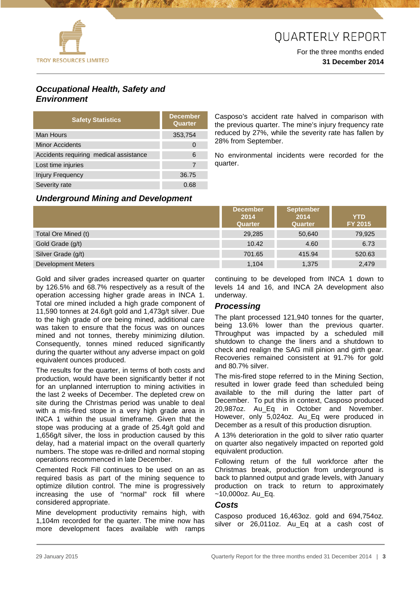

#### For the three months ended **31 December 2014**

### *Occupational Health, Safety and Environment*

| <b>Safety Statistics</b>               | <b>December</b><br>Quarter |
|----------------------------------------|----------------------------|
| Man Hours                              | 353,754                    |
| <b>Minor Accidents</b>                 |                            |
| Accidents requiring medical assistance | 6                          |
| Lost time injuries                     |                            |
| <b>Injury Frequency</b>                | 36.75                      |
| Severity rate                          | 0.68                       |

Casposo's accident rate halved in comparison with the previous quarter. The mine's injury frequency rate reduced by 27%, while the severity rate has fallen by 28% from September.

No environmental incidents were recorded for the quarter.

#### *Underground Mining and Development*

|                     | <b>December</b><br>2014<br>Quarter | <b>September</b><br>2014<br><b>Quarter</b> | <b>YTD</b><br>FY 2015 |
|---------------------|------------------------------------|--------------------------------------------|-----------------------|
| Total Ore Mined (t) | 29,285                             | 50.640                                     | 79,925                |
| Gold Grade (g/t)    | 10.42                              | 4.60                                       | 6.73                  |
| Silver Grade (g/t)  | 701.65                             | 415.94                                     | 520.63                |
| Development Meters  | 1,104                              | 1,375                                      | 2,479                 |

Gold and silver grades increased quarter on quarter by 126.5% and 68.7% respectively as a result of the operation accessing higher grade areas in INCA 1. Total ore mined included a high grade component of 11,590 tonnes at 24.6g/t gold and 1,473g/t silver. Due to the high grade of ore being mined, additional care was taken to ensure that the focus was on ounces mined and not tonnes, thereby minimizing dilution. Consequently, tonnes mined reduced significantly during the quarter without any adverse impact on gold equivalent ounces produced.

The results for the quarter, in terms of both costs and production, would have been significantly better if not for an unplanned interruption to mining activities in the last 2 weeks of December. The depleted crew on site during the Christmas period was unable to deal with a mis-fired stope in a very high grade area in INCA 1 within the usual timeframe. Given that the stope was producing at a grade of 25.4g/t gold and 1,656g/t silver, the loss in production caused by this delay, had a material impact on the overall quarterly numbers. The stope was re-drilled and normal stoping operations recommenced in late December.

Cemented Rock Fill continues to be used on an as required basis as part of the mining sequence to optimize dilution control. The mine is progressively increasing the use of "normal" rock fill where considered appropriate.

Mine development productivity remains high, with 1,104m recorded for the quarter. The mine now has more development faces available with ramps

continuing to be developed from INCA 1 down to levels 14 and 16, and INCA 2A development also underway.

#### *Processing*

The plant processed 121,940 tonnes for the quarter, being 13.6% lower than the previous quarter. Throughput was impacted by a scheduled mill shutdown to change the liners and a shutdown to check and realign the SAG mill pinion and girth gear. Recoveries remained consistent at 91.7% for gold and 80.7% silver.

The mis-fired stope referred to in the Mining Section, resulted in lower grade feed than scheduled being available to the mill during the latter part of December. To put this in context, Casposo produced 20,987oz. Au\_Eq in October and November. However, only 5,024oz. Au\_Eq were produced in December as a result of this production disruption.

A 13% deterioration in the gold to silver ratio quarter on quarter also negatively impacted on reported gold equivalent production.

Following return of the full workforce after the Christmas break, production from underground is back to planned output and grade levels, with January production on track to return to approximately  $~10,000$ oz. Au Eq.

#### *Costs*

Casposo produced 16,463oz. gold and 694,754oz. silver or 26,011oz. Au\_Eq at a cash cost of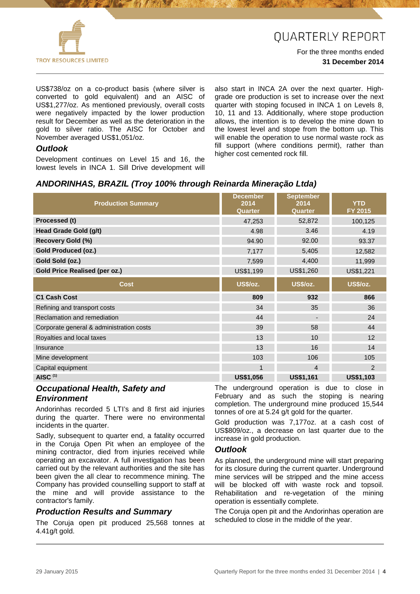

For the three months ended **31 December 2014**

US\$738/oz on a co-product basis (where silver is converted to gold equivalent) and an AISC of US\$1,277/oz. As mentioned previously, overall costs were negatively impacted by the lower production result for December as well as the deterioration in the gold to silver ratio. The AISC for October and November averaged US\$1,051/oz.

### *Outlook*

Development continues on Level 15 and 16, the lowest levels in INCA 1. Sill Drive development will

also start in INCA 2A over the next quarter. Highgrade ore production is set to increase over the next quarter with stoping focused in INCA 1 on Levels 8, 10, 11 and 13. Additionally, where stope production allows, the intention is to develop the mine down to the lowest level and stope from the bottom up. This will enable the operation to use normal waste rock as fill support (where conditions permit), rather than higher cost cemented rock fill.

### *ANDORINHAS, BRAZIL (Troy 100% through Reinarda Mineração Ltda)*

| <b>Production Summary</b>                | <b>December</b><br>2014<br>Quarter | <b>September</b><br>2014<br>Quarter | <b>YTD</b><br>FY 2015 |
|------------------------------------------|------------------------------------|-------------------------------------|-----------------------|
| Processed (t)                            | 47,253                             | 52,872                              | 100,125               |
| Head Grade Gold (g/t)                    | 4.98                               | 3.46                                | 4.19                  |
| <b>Recovery Gold (%)</b>                 | 94.90                              | 92.00                               | 93.37                 |
| <b>Gold Produced (oz.)</b>               | 7,177                              | 5,405                               | 12,582                |
| Gold Sold (oz.)                          | 7,599                              | 4,400                               | 11,999                |
| <b>Gold Price Realised (per oz.)</b>     | US\$1,199                          | US\$1,260                           | US\$1,221             |
| <b>Cost</b>                              | <b>US\$/oz.</b>                    | US\$/oz.                            | US\$/oz.              |
| <b>C1 Cash Cost</b>                      | 809                                | 932                                 | 866                   |
| Refining and transport costs             | 34                                 | 35                                  | 36                    |
| Reclamation and remediation              | 44                                 |                                     | 24                    |
| Corporate general & administration costs | 39                                 | 58                                  | 44                    |
| Royalties and local taxes                | 13                                 | 10                                  | 12                    |
| Insurance                                | 13                                 | 16                                  | 14                    |
| Mine development                         | 103                                | 106                                 | 105                   |
| Capital equipment                        | 1                                  | 4                                   | $\mathcal{P}$         |
| AISC $(1)$                               | <b>US\$1,056</b>                   | <b>US\$1,161</b>                    | <b>US\$1,103</b>      |

#### *Occupational Health, Safety and Environment*

Andorinhas recorded 5 LTI's and 8 first aid injuries during the quarter. There were no environmental incidents in the quarter.

Sadly, subsequent to quarter end, a fatality occurred in the Coruja Open Pit when an employee of the mining contractor, died from injuries received while operating an excavator. A full investigation has been carried out by the relevant authorities and the site has been given the all clear to recommence mining. The Company has provided counselling support to staff at the mine and will provide assistance to the contractor's family.

#### *Production Results and Summary*

The Coruja open pit produced 25,568 tonnes at 4.41g/t gold.

The underground operation is due to close in February and as such the stoping is nearing completion. The underground mine produced 15,544 tonnes of ore at 5.24 g/t gold for the quarter.

Gold production was 7,177oz. at a cash cost of US\$809/oz., a decrease on last quarter due to the increase in gold production.

#### *Outlook*

As planned, the underground mine will start preparing for its closure during the current quarter. Underground mine services will be stripped and the mine access will be blocked off with waste rock and topsoil. Rehabilitation and re-vegetation of the mining operation is essentially complete.

The Coruja open pit and the Andorinhas operation are scheduled to close in the middle of the year.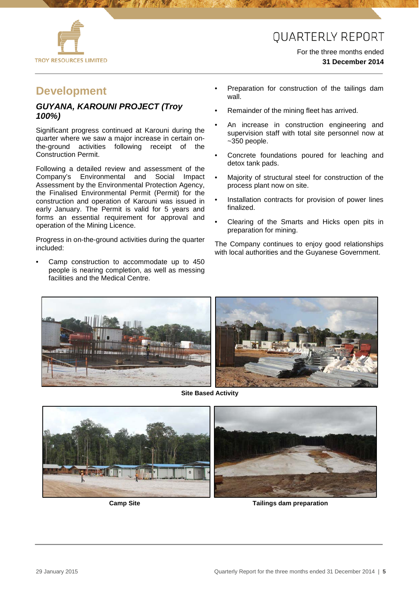



#### For the three months ended **31 December 2014**

### **Development**

#### *GUYANA, KAROUNI PROJECT (Troy 100%)*

Significant progress continued at Karouni during the quarter where we saw a major increase in certain onthe-ground activities following receipt of the Construction Permit.

Following a detailed review and assessment of the Company's Environmental and Social Impact Assessment by the Environmental Protection Agency, the Finalised Environmental Permit (Permit) for the construction and operation of Karouni was issued in early January. The Permit is valid for 5 years and forms an essential requirement for approval and operation of the Mining Licence.

Progress in on-the-ground activities during the quarter included:

Camp construction to accommodate up to 450 people is nearing completion, as well as messing facilities and the Medical Centre.

- Preparation for construction of the tailings dam wall.
- Remainder of the mining fleet has arrived.
- An increase in construction engineering and supervision staff with total site personnel now at ~350 people.
- Concrete foundations poured for leaching and detox tank pads.
- Majority of structural steel for construction of the process plant now on site.
- Installation contracts for provision of power lines finalized.
- Clearing of the Smarts and Hicks open pits in preparation for mining.

The Company continues to enjoy good relationships with local authorities and the Guyanese Government.



**Site Based Activity**





 **Camp Site Tailings dam preparation**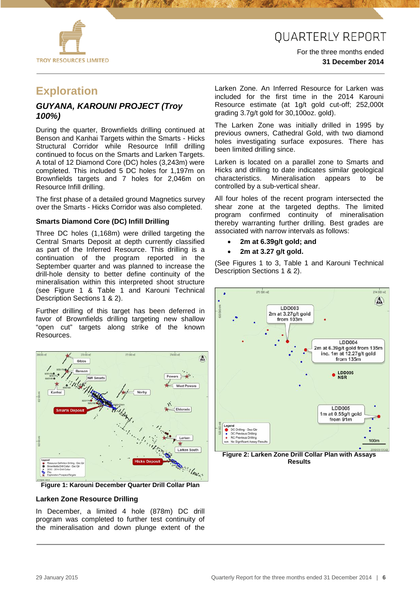

For the three months ended **31 December 2014**

## **Exploration**

#### *GUYANA, KAROUNI PROJECT (Troy 100%)*

During the quarter, Brownfields drilling continued at Benson and Kanhai Targets within the Smarts - Hicks Structural Corridor while Resource Infill drilling continued to focus on the Smarts and Larken Targets. A total of 12 Diamond Core (DC) holes (3,243m) were completed. This included 5 DC holes for 1,197m on Brownfields targets and 7 holes for 2,046m on Resource Infill drilling.

The first phase of a detailed ground Magnetics survey over the Smarts - Hicks Corridor was also completed.

#### **Smarts Diamond Core (DC) Infill Drilling**

Three DC holes (1,168m) were drilled targeting the Central Smarts Deposit at depth currently classified as part of the Inferred Resource. This drilling is a continuation of the program reported in the September quarter and was planned to increase the drill-hole density to better define continuity of the mineralisation within this interpreted shoot structure (see Figure 1 & Table 1 and Karouni Technical Description Sections 1 & 2).

Further drilling of this target has been deferred in favor of Brownfields drilling targeting new shallow "open cut" targets along strike of the known Resources.



**Figure 1: Karouni December Quarter Drill Collar Plan**

#### **Larken Zone Resource Drilling**

In December, a limited 4 hole (878m) DC drill program was completed to further test continuity of the mineralisation and down plunge extent of the Larken Zone. An Inferred Resource for Larken was included for the first time in the 2014 Karouni Resource estimate (at 1g/t gold cut-off; 252,000t grading 3.7g/t gold for 30,100oz. gold).

The Larken Zone was initially drilled in 1995 by previous owners, Cathedral Gold, with two diamond holes investigating surface exposures. There has been limited drilling since.

Larken is located on a parallel zone to Smarts and Hicks and drilling to date indicates similar geological characteristics. Mineralisation appears to be controlled by a sub-vertical shear.

All four holes of the recent program intersected the shear zone at the targeted depths. The limited program confirmed continuity of mineralisation thereby warranting further drilling. Best grades are associated with narrow intervals as follows:

- **2m at 6.39g/t gold; and**
- **2m at 3.27 g/t gold.**

(See Figures 1 to 3, Table 1 and Karouni Technical Description Sections 1 & 2).



**Figure 2: Larken Zone Drill Collar Plan with Assays Results**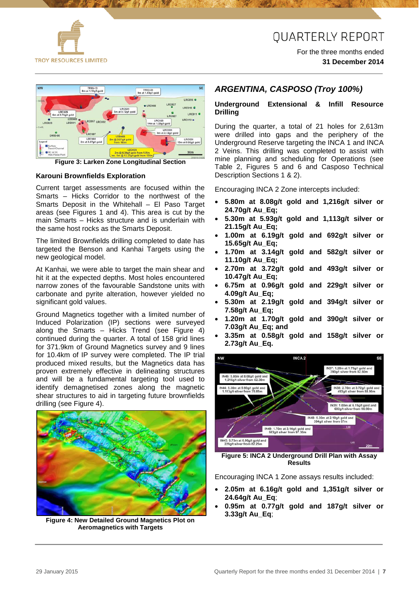

For the three months ended **31 December 2014**



**Figure 3: Larken Zone Longitudinal Section**

#### **Karouni Brownfields Exploration**

Current target assessments are focused within the Smarts – Hicks Corridor to the northwest of the Smarts Deposit in the Whitehall – El Paso Target areas (see Figures 1 and 4). This area is cut by the main Smarts – Hicks structure and is underlain with the same host rocks as the Smarts Deposit.

The limited Brownfields drilling completed to date has targeted the Benson and Kanhai Targets using the new geological model.

At Kanhai, we were able to target the main shear and hit it at the expected depths. Most holes encountered narrow zones of the favourable Sandstone units with carbonate and pyrite alteration, however yielded no significant gold values.

Ground Magnetics together with a limited number of Induced Polarization (IP) sections were surveyed along the Smarts – Hicks Trend (see Figure 4) continued during the quarter. A total of 158 grid lines for 371.9km of Ground Magnetics survey and 9 lines for 10.4km of IP survey were completed. The IP trial produced mixed results, but the Magnetics data has proven extremely effective in delineating structures and will be a fundamental targeting tool used to identify demagnetised zones along the magnetic shear structures to aid in targeting future brownfields drilling (see Figure 4).



**Figure 4: New Detailed Ground Magnetics Plot on Aeromagnetics with Targets**

#### *ARGENTINA, CASPOSO (Troy 100%)*

#### **Underground Extensional & Infill Resource Drilling**

During the quarter, a total of 21 holes for 2,613m were drilled into gaps and the periphery of the Underground Reserve targeting the INCA 1 and INCA 2 Veins. This drilling was completed to assist with mine planning and scheduling for Operations (see Table 2, Figures 5 and 6 and Casposo Technical Description Sections 1 & 2).

Encouraging INCA 2 Zone intercepts included:

- **5.80m at 8.08g/t gold and 1,216g/t silver or 24.70g/t Au\_Eq;**
- **5.30m at 5.93g/t gold and 1,113g/t silver or 21.15g/t Au\_Eq;**
- **1.00m at 6.19g/t gold and 692g/t silver or 15.65g/t Au\_Eq;**
- **1.70m at 3.14g/t gold and 582g/t silver or 11.10g/t Au\_Eq;**
- **2.70m at 3.72g/t gold and 493g/t silver or 10.47g/t Au\_Eq;**
- **6.75m at 0.96g/t gold and 229g/t silver or 4.09g/t Au\_Eq;**
- **5.30m at 2.19g/t gold and 394g/t silver or 7.58g/t Au\_Eq;**
- **1.20m at 1.70g/t gold and 390g/t silver or 7.03g/t Au\_Eq; and**
- **3.35m at 0.58g/t gold and 158g/t silver or 2.73g/t Au\_Eq.**



**Figure 5: INCA 2 Underground Drill Plan with Assay Results**

Encouraging INCA 1 Zone assays results included:

- **2.05m at 6.16g/t gold and 1,351g/t silver or 24.64g/t Au\_Eq**;
- **0.95m at 0.77g/t gold and 187g/t silver or 3.33g/t Au\_Eq**;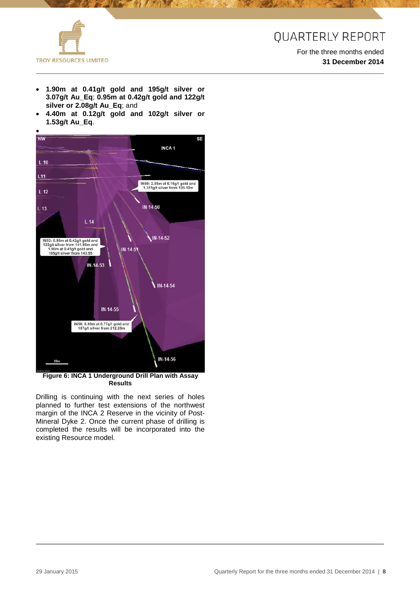

For the three months ended **31 December 2014**

• **1.90m at 0.41g/t gold and 195g/t silver or 3.07g/t Au\_Eq**; **0.95m at 0.42g/t gold and 122g/t silver or 2.08g/t Au\_Eq**; and

**アイトウイ** 

• **4.40m at 0.12g/t gold and 102g/t silver or 1.53g/t Au\_Eq**.



**Figure 6: INCA 1 Underground Drill Plan with Assay Results**

Drilling is continuing with the next series of holes planned to further test extensions of the northwest margin of the INCA 2 Reserve in the vicinity of Post-Mineral Dyke 2. Once the current phase of drilling is completed the results will be incorporated into the existing Resource model.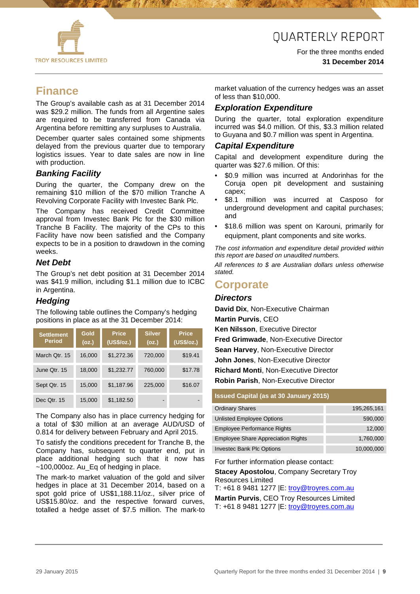

For the three months ended **31 December 2014**

### **Finance**

The Group's available cash as at 31 December 2014 was \$29.2 million. The funds from all Argentine sales are required to be transferred from Canada via Argentina before remitting any surpluses to Australia.

December quarter sales contained some shipments delayed from the previous quarter due to temporary logistics issues. Year to date sales are now in line with production.

#### *Banking Facility*

During the quarter, the Company drew on the remaining \$10 million of the \$70 million Tranche A Revolving Corporate Facility with Investec Bank Plc.

The Company has received Credit Committee approval from Investec Bank Plc for the \$30 million Tranche B Facility. The majority of the CPs to this Facility have now been satisfied and the Company expects to be in a position to drawdown in the coming weeks.

#### *Net Debt*

The Group's net debt position at 31 December 2014 was \$41.9 million, including \$1.1 million due to ICBC in Argentina.

#### *Hedging*

The following table outlines the Company's hedging positions in place as at the 31 December 2014:

| <b>Settlement</b><br><b>Period</b> | Gold<br>(oz.) | <b>Price</b><br>(US\$/oz.) | <b>Silver</b><br>(oz.) | <b>Price</b><br>(US\$/oz.) |
|------------------------------------|---------------|----------------------------|------------------------|----------------------------|
| March Qtr. 15                      | 16,000        | \$1,272.36                 | 720,000                | \$19.41                    |
| June Qtr. 15                       | 18,000        | \$1,232.77                 | 760,000                | \$17.78                    |
| Sept Qtr. 15                       | 15,000        | \$1,187.96                 | 225,000                | \$16.07                    |
| Dec Qtr. 15                        | 15,000        | \$1,182.50                 |                        |                            |

The Company also has in place currency hedging for a total of \$30 million at an average AUD/USD of 0.814 for delivery between February and April 2015.

To satisfy the conditions precedent for Tranche B, the Company has, subsequent to quarter end, put in place additional hedging such that it now has ~100,000oz. Au\_Eq of hedging in place.

The mark-to market valuation of the gold and silver hedges in place at 31 December 2014, based on a spot gold price of US\$1,188.11/oz., silver price of US\$15.80/oz. and the respective forward curves, totalled a hedge asset of \$7.5 million. The mark-to

market valuation of the currency hedges was an asset of less than \$10,000.

#### *Exploration Expenditure*

During the quarter, total exploration expenditure incurred was \$4.0 million. Of this, \$3.3 million related to Guyana and \$0.7 million was spent in Argentina.

#### *Capital Expenditure*

Capital and development expenditure during the quarter was \$27.6 million. Of this:

- \$0.9 million was incurred at Andorinhas for the Coruja open pit development and sustaining capex;
- \$8.1 million was incurred at Casposo for underground development and capital purchases; and
- \$18.6 million was spent on Karouni, primarily for equipment, plant components and site works.

*The cost information and expenditure detail provided within this report are based on unaudited numbers.*

*All references to \$ are Australian dollars unless otherwise stated.*

### **Corporate**

#### *Directors*

**David Dix**, Non-Executive Chairman **Martin Purvis**, CEO

**Ken Nilsson**, Executive Director

**Fred Grimwade**, Non-Executive Director

**Sean Harvey**, Non-Executive Director

**John Jones**, Non-Executive Director

**Richard Monti**, Non-Executive Director

**Robin Parish**, Non-Executive Director

#### **Issued Capital (as at 30 January 2015)**

| <b>Ordinary Shares</b>                    | 195,265,161 |
|-------------------------------------------|-------------|
| <b>Unlisted Employee Options</b>          | 590,000     |
| <b>Employee Performance Rights</b>        | 12,000      |
| <b>Employee Share Appreciation Rights</b> | 1,760,000   |
| <b>Investec Bank Plc Options</b>          | 10,000,000  |

For further information please contact:

**Stacey Apostolou**, Company Secretary Troy Resources Limited

T: +61 8 9481 1277 |E: [troy@troyres.com.au](mailto:troy@troyres.com.au) **Martin Purvis**, CEO Troy Resources Limited

T: +61 8 9481 1277 |E: [troy@troyres.com.au](mailto:troy@troyres.com.au)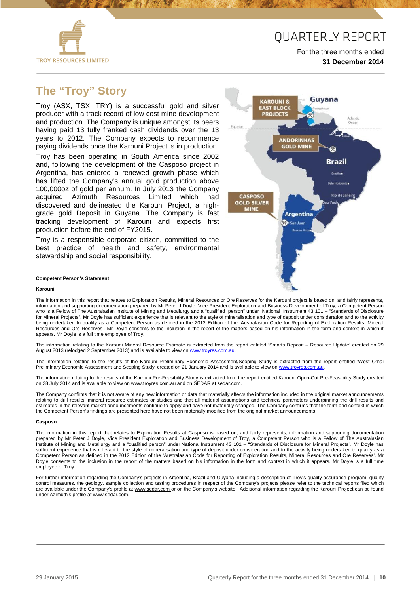

For the three months ended **31 December 2014**

### **The "Troy" Story**

Troy (ASX, TSX: TRY) is a successful gold and silver producer with a track record of low cost mine development and production. The Company is unique amongst its peers having paid 13 fully franked cash dividends over the 13 years to 2012. The Company expects to recommence paying dividends once the Karouni Project is in production.

Troy has been operating in South America since 2002 and, following the development of the Casposo project in Argentina, has entered a renewed growth phase which has lifted the Company's annual gold production above 100,000oz of gold per annum. In July 2013 the Company acquired Azimuth Resources Limited which had discovered and delineated the Karouni Project, a highgrade gold Deposit in Guyana. The Company is fast tracking development of Karouni and expects first production before the end of FY2015.

Troy is a responsible corporate citizen, committed to the best practice of health and safety, environmental stewardship and social responsibility.



#### **Competent Person's Statement**

#### **Karouni**

The information in this report that relates to Exploration Results, Mineral Resources or Ore Reserves for the Karouni project is based on, and fairly represents, information and supporting documentation prepared by Mr Peter J Doyle, Vice President Exploration and Business Development of Troy, a Competent Person who is a Fellow of The Australasian Institute of Mining and Metallurgy and a "qualified person" under National Instrument 43 101 – "Standards of Disclosure for Mineral Projects". Mr Doyle has sufficient experience that is relevant to the style of mineralisation and type of deposit under consideration and to the activity being undertaken to qualify as a Competent Person as defined in the 2012 Edition of the 'Australasian Code for Reporting of Exploration Results, Mineral Resources and Ore Reserves'. Mr Doyle consents to the inclusion in the report of the matters based on his information in the form and context in which it appears. Mr Doyle is a full time employee of Troy.

The information relating to the Karouni Mineral Resource Estimate is extracted from the report entitled 'Smarts Deposit – Resource Update' created on 29 August 2013 (relodged 2 September 2013) and is available to view on www.troyres.com.au

The information relating to the results of the Karouni Preliminary Economic Assessment/Scoping Study is extracted from the report entitled 'West Omai Preliminary Economic Assessment and Scoping Study' created on 21 January 2014 and is available to view on [www.troyres.com.au.](http://www.troyres.com.au/)

The information relating to the results of the Karouni Pre-Feasibility Study is extracted from the report entitled Karouni Open-Cut Pre-Feasibility Study created on 28 July 2014 and is available to view on www.troyres.com.au and on SEDAR at sedar.com.

The Company confirms that it is not aware of any new information or data that materially affects the information included in the original market announcements relating to drill results, mineral resource estimates or studies and that all material assumptions and technical parameters underpinning the drill results and estimates in the relevant market announcements continue to apply and have not materially changed. The Company confirms that the form and context in which the Competent Person's findings are presented here have not been materially modified from the original market announcements.

#### **Casposo**

The information in this report that relates to Exploration Results at Casposo is based on, and fairly represents, information and supporting documentation prepared by Mr Peter J Doyle, Vice President Exploration and Business Development of Troy, a Competent Person who is a Fellow of The Australasian Institute of Mining and Metallurgy and a "qualified person" under National Instrument 43 101 – "Standards of Disclosure for Mineral Projects". Mr Doyle has sufficient experience that is relevant to the style of mineralisation and type of deposit under consideration and to the activity being undertaken to qualify as a Competent Person as defined in the 2012 Edition of the 'Australasian Code for Reporting of Exploration Results, Mineral Resources and Ore Reserves'. Mr Doyle consents to the inclusion in the report of the matters based on his information in the form and context in which it appears. Mr Doyle is a full time employee of Troy.

For further information regarding the Company's projects in Argentina, Brazil and Guyana including a description of Troy's quality assurance program, quality control measures, the geology, sample collection and testing procedures in respect of the Company's projects please refer to the technical reports filed which are available under the Company's profile at [www.sedar.com o](http://www.sedar.com/)r on the Company's website. Additional information regarding the Karouni Project can be found under Azimuth's profile at [www.sedar.com.](http://www.sedar.com/)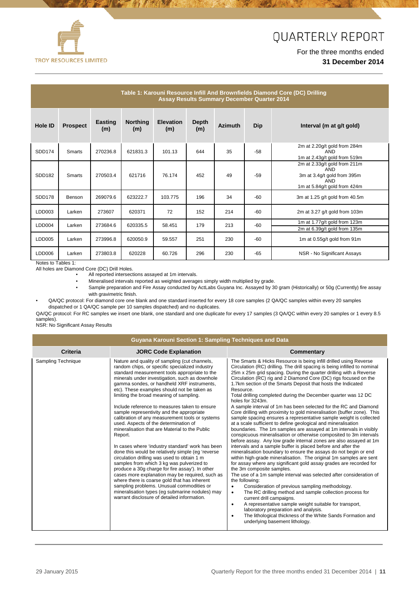

#### For the three months ended **31 December 2014**

| Table 1: Karouni Resource Infill And Brownfields Diamond Core (DC) Drilling<br><b>Assay Results Summary December Quarter 2014</b> |                 |                |                        |                         |                     |                |            |                                                                                                                  |
|-----------------------------------------------------------------------------------------------------------------------------------|-----------------|----------------|------------------------|-------------------------|---------------------|----------------|------------|------------------------------------------------------------------------------------------------------------------|
| Hole ID                                                                                                                           | <b>Prospect</b> | Easting<br>(m) | <b>Northing</b><br>(m) | <b>Elevation</b><br>(m) | <b>Depth</b><br>(m) | <b>Azimuth</b> | <b>Dip</b> | Interval (m at g/t gold)                                                                                         |
| SDD174                                                                                                                            | Smarts          | 270236.8       | 621831.3               | 101.13                  | 644                 | 35             | $-58$      | 2m at 2.20g/t gold from 284m<br>AND<br>1m at 2.43g/t gold from 519m                                              |
| SDD182                                                                                                                            | Smarts          | 270503.4       | 621716                 | 76.174                  | 452                 | 49             | $-59$      | 2m at 2.33g/t gold from 211m<br><b>AND</b><br>3m at 3.4g/t gold from 395m<br>AND<br>1m at 5.84g/t gold from 424m |
| <b>SDD178</b>                                                                                                                     | Benson          | 269079.6       | 623222.7               | 103.775                 | 196                 | 34             | $-60$      | 3m at 1.25 g/t gold from 40.5m                                                                                   |
| LDD003                                                                                                                            | Larken          | 273607         | 620371                 | 72                      | 152                 | 214            | -60        | 2m at 3.27 g/t gold from 103m                                                                                    |
| LDD004                                                                                                                            | Larken          | 273684.6       | 620335.5               | 58.451                  | 179                 | 213            | $-60$      | 1m at 1.77g/t gold from 123m<br>2m at 6.39g/t gold from 135m                                                     |
| LDD005                                                                                                                            | Larken          | 273996.8       | 620050.9               | 59.557                  | 251                 | 230            | $-60$      | 1m at 0.55g/t gold from 91m                                                                                      |
| LDD006                                                                                                                            | Larken          | 273803.8       | 620228                 | 60.726                  | 296                 | 230            | $-65$      | NSR - No Significant Assays                                                                                      |

Notes to Tables 1:

All holes are Diamond Core (DC) Drill Holes.

All reported intersections assayed at 1m intervals.

• Mineralised intervals reported as weighted averages simply width multiplied by grade.

理好 即 2

• Sample preparation and Fire Assay conducted by ActLabs Guyana Inc. Assayed by 30 gram (Historically) or 50g (Currently) fire assay with gravimetric finish.

• QA/QC protocol: For diamond core one blank and one standard inserted for every 18 core samples (2 QA/QC samples within every 20 samples dispatched or 1 QA/QC sample per 10 samples dispatched) and no duplicates.

QA/QC protocol: For RC samples we insert one blank, one standard and one duplicate for every 17 samples (3 QA/QC within every 20 samples or 1 every 8.5 samples).

NSR: No Significant Assay Results

|                    | Guyana Karouni Section 1: Sampling Techniques and Data                                                                                                                                                                                                                                                                                                                                                                                                                                                                                                                                                                                                                                                                                                                                                                                                                                                                                                                                                                                                                                                      |                                                                                                                                                                                                                                                                                                                                                                                                                                                                                                                                                                                                                                                                                                                                                                                                                                                                                                                                                                                                                                                                                                                                                                                                                                                                                                                                                                                                                                                                                                                                                                                                                                                                                                                                                              |
|--------------------|-------------------------------------------------------------------------------------------------------------------------------------------------------------------------------------------------------------------------------------------------------------------------------------------------------------------------------------------------------------------------------------------------------------------------------------------------------------------------------------------------------------------------------------------------------------------------------------------------------------------------------------------------------------------------------------------------------------------------------------------------------------------------------------------------------------------------------------------------------------------------------------------------------------------------------------------------------------------------------------------------------------------------------------------------------------------------------------------------------------|--------------------------------------------------------------------------------------------------------------------------------------------------------------------------------------------------------------------------------------------------------------------------------------------------------------------------------------------------------------------------------------------------------------------------------------------------------------------------------------------------------------------------------------------------------------------------------------------------------------------------------------------------------------------------------------------------------------------------------------------------------------------------------------------------------------------------------------------------------------------------------------------------------------------------------------------------------------------------------------------------------------------------------------------------------------------------------------------------------------------------------------------------------------------------------------------------------------------------------------------------------------------------------------------------------------------------------------------------------------------------------------------------------------------------------------------------------------------------------------------------------------------------------------------------------------------------------------------------------------------------------------------------------------------------------------------------------------------------------------------------------------|
| Criteria           | <b>JORC Code Explanation</b>                                                                                                                                                                                                                                                                                                                                                                                                                                                                                                                                                                                                                                                                                                                                                                                                                                                                                                                                                                                                                                                                                | Commentary                                                                                                                                                                                                                                                                                                                                                                                                                                                                                                                                                                                                                                                                                                                                                                                                                                                                                                                                                                                                                                                                                                                                                                                                                                                                                                                                                                                                                                                                                                                                                                                                                                                                                                                                                   |
| Sampling Technique | Nature and quality of sampling (cut channels,<br>random chips, or specific specialized industry<br>standard measurement tools appropriate to the<br>minerals under investigation, such as downhole<br>gamma sondes, or handheld XRF instruments,<br>etc). These examples should not be taken as<br>limiting the broad meaning of sampling.<br>Include reference to measures taken to ensure<br>sample representivity and the appropriate<br>calibration of any measurement tools or systems<br>used. Aspects of the determination of<br>mineralisation that are Material to the Public<br>Report.<br>In cases where 'industry standard' work has been<br>done this would be relatively simple (eg 'reverse<br>circulation drilling was used to obtain 1 m<br>samples from which 3 kg was pulverized to<br>produce a 30g charge for fire assay'). In other<br>cases more explanation may be required, such as<br>where there is coarse gold that has inherent<br>sampling problems. Unusual commodities or<br>mineralisation types (eq submarine nodules) may<br>warrant disclosure of detailed information. | The Smarts & Hicks Resource is being infill drilled using Reverse<br>Circulation (RC) drilling. The drill spacing is being infilled to nominal<br>25m x 25m grid spacing. During the quarter drilling with a Reverse<br>Circulation (RC) rig and 2 Diamond Core (DC) rigs focused on the<br>1.7km section of the Smarts Deposit that hosts the Indicated<br>Resource.<br>Total drilling completed during the December quarter was 12 DC<br>holes for 3243m.<br>A sample interval of 1m has been selected for the RC and Diamond<br>Core drilling with proximity to gold mineralisation (buffer zone). This<br>sample spacing ensures a representative sample weight is collected<br>at a scale sufficient to define geological and mineralisation<br>boundaries. The 1m samples are assayed at 1m intervals in visibly<br>conspicuous mineralisation or otherwise composited to 3m intervals<br>before assay. Any low grade internal zones are also assayed at 1m<br>intervals and a sample buffer is placed before and after the<br>mineralisation boundary to ensure the assays do not begin or end<br>within high-grade mineralisation. The original 1m samples are sent<br>for assay where any significant gold assay grades are recorded for<br>the 3m composite samples.<br>The use of a 1m sample interval was selected after consideration of<br>the following:<br>Consideration of previous sampling methodology.<br>$\bullet$<br>The RC drilling method and sample collection process for<br>$\bullet$<br>current drill campaigns.<br>A representative sample weight suitable for transport,<br>$\bullet$<br>laboratory preparation and analysis.<br>The lithological thickness of the White Sands Formation and<br>underlying basement lithology. |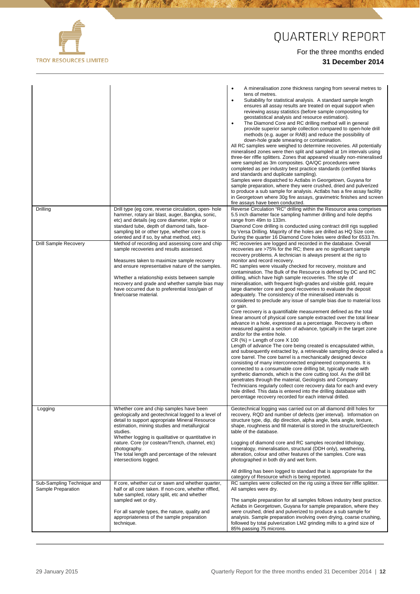

**A PARTIES AND REAL PROPERTY AND REAL** 

## QUARTERLY REPORT

Ŵ

|                                                  |                                                                                                                                                                                                                                                                                                                                                                                                                        | A mineralisation zone thickness ranging from several metres to<br>$\bullet$<br>tens of metres.<br>Suitability for statistical analysis. A standard sample length<br>٠<br>ensures all assay results are treated on equal support when<br>reviewing assay statistics (before sample compositing for<br>geostatistical analysis and resource estimation).<br>The Diamond Core and RC drilling method will in general<br>$\bullet$<br>provide superior sample collection compared to open-hole drill<br>methods (e.g. auger or RAB) and reduce the possibility of<br>down-hole grade smearing or contamination.<br>All RC samples were weighed to determine recoveries. All potentially<br>mineralised zones were then split and sampled at 1m intervals using<br>three-tier riffle splitters. Zones that appeared visually non-mineralised<br>were sampled as 3m composites. QA/QC procedures were<br>completed as per industry best practice standards (certified blanks<br>and standards and duplicate sampling).<br>Samples were dispatched to Actlabs in Georgetown, Guyana for<br>sample preparation, where they were crushed, dried and pulverized<br>to produce a sub sample for analysis. Actlabs has a fire assay facility<br>in Georgetown where 30g fire assays, gravimetric finishes and screen<br>fire assays have been conducted.                                                                                                                                                                                                                                                                                                                                                                                                                                                                                                                      |
|--------------------------------------------------|------------------------------------------------------------------------------------------------------------------------------------------------------------------------------------------------------------------------------------------------------------------------------------------------------------------------------------------------------------------------------------------------------------------------|-------------------------------------------------------------------------------------------------------------------------------------------------------------------------------------------------------------------------------------------------------------------------------------------------------------------------------------------------------------------------------------------------------------------------------------------------------------------------------------------------------------------------------------------------------------------------------------------------------------------------------------------------------------------------------------------------------------------------------------------------------------------------------------------------------------------------------------------------------------------------------------------------------------------------------------------------------------------------------------------------------------------------------------------------------------------------------------------------------------------------------------------------------------------------------------------------------------------------------------------------------------------------------------------------------------------------------------------------------------------------------------------------------------------------------------------------------------------------------------------------------------------------------------------------------------------------------------------------------------------------------------------------------------------------------------------------------------------------------------------------------------------------------------------------------------------------------------------------------------------|
| Drilling                                         | Drill type (eg core, reverse circulation, open- hole<br>hammer, rotary air blast, auger, Bangka, sonic,<br>etc) and details (eg core diameter, triple or<br>standard tube, depth of diamond tails, face-<br>sampling bit or other type, whether core is                                                                                                                                                                | Reverse Circulation "RC" drilling within the Resource area comprises<br>5.5 inch diameter face sampling hammer drilling and hole depths<br>range from 49m to 133m.<br>Diamond Core drilling is conducted using contract drill rigs supplied<br>by Versa Drilling. Majority of the holes are drilled as HQ Size core.                                                                                                                                                                                                                                                                                                                                                                                                                                                                                                                                                                                                                                                                                                                                                                                                                                                                                                                                                                                                                                                                                                                                                                                                                                                                                                                                                                                                                                                                                                                                              |
| <b>Drill Sample Recovery</b>                     | oriented and if so, by what method, etc).<br>Method of recording and assessing core and chip<br>sample recoveries and results assessed.<br>Measures taken to maximize sample recovery<br>and ensure representative nature of the samples.<br>Whether a relationship exists between sample<br>recovery and grade and whether sample bias may<br>have occurred due to preferential loss/gain of<br>fine/coarse material. | During the quarter 16 Diamond Core holes were drilled for 6533.7m.<br>RC recoveries are logged and recorded in the database. Overall<br>recoveries are >75% for the RC; there are no significant sample<br>recovery problems. A technician is always present at the rig to<br>monitor and record recovery.<br>RC samples were visually checked for recovery, moisture and<br>contamination. The Bulk of the Resource is defined by DC and RC<br>drilling, which have high sample recoveries. The style of<br>mineralisation, with frequent high-grades and visible gold, require<br>large diameter core and good recoveries to evaluate the deposit<br>adequately. The consistency of the mineralised intervals is<br>considered to preclude any issue of sample bias due to material loss<br>or gain.<br>Core recovery is a quantifiable measurement defined as the total<br>linear amount of physical core sample extracted over the total linear<br>advance in a hole, expressed as a percentage. Recovery is often<br>measured against a section of advance, typically in the target zone<br>and/or for the entire hole.<br>$CR$ (%) = Length of core $X$ 100<br>Length of advance The core being created is encapsulated within,<br>and subsequently extracted by, a retrievable sampling device called a<br>core barrel. The core barrel is a mechanically designed device<br>consisting of many interconnected engineered components. It is<br>connected to a consumable core drilling bit, typically made with<br>synthetic diamonds, which is the core cutting tool. As the drill bit<br>penetrates through the material, Geologists and Company<br>Technicians regularly collect core recovery data for each and every<br>hole drilled. This data is entered into the drilling database with<br>percentage recovery recorded for each interval drilled. |
| Logging                                          | Whether core and chip samples have been<br>geologically and geotechnical logged to a level of<br>detail to support appropriate Mineral Resource<br>estimation, mining studies and metallurgical<br>studies.<br>Whether logging is qualitative or quantitative in<br>nature. Core (or costean/Trench, channel, etc)<br>photography.<br>The total length and percentage of the relevant<br>intersections logged.         | Geotechnical logging was carried out on all diamond drill holes for<br>recovery, RQD and number of defects (per interval). Information on<br>structure type, dip, dip direction, alpha angle, beta angle, texture,<br>shape, roughness and fill material is stored in the structure/Geotech<br>table of the database.<br>Logging of diamond core and RC samples recorded lithology,<br>mineralogy, mineralisation, structural (DDH only), weathering,<br>alteration, colour and other features of the samples. Core was<br>photographed in both dry and wet form.<br>All drilling has been logged to standard that is appropriate for the<br>category of Resource which is being reported.                                                                                                                                                                                                                                                                                                                                                                                                                                                                                                                                                                                                                                                                                                                                                                                                                                                                                                                                                                                                                                                                                                                                                                        |
| Sub-Sampling Technique and<br>Sample Preparation | If core, whether cut or sawn and whether quarter,<br>half or all core taken. If non-core, whether riffled,<br>tube sampled, rotary split, etc and whether<br>sampled wet or dry.<br>For all sample types, the nature, quality and<br>appropriateness of the sample preparation<br>technique.                                                                                                                           | RC samples were collected on the rig using a three tier riffle splitter.<br>All samples were dry.<br>The sample preparation for all samples follows industry best practice.<br>Actlabs in Georgetown, Guyana for sample preparation, where they<br>were crushed, dried and pulverized to produce a sub sample for<br>analysis. Sample preparation involving oven drying, coarse crushing,<br>followed by total pulverization LM2 grinding mills to a grind size of<br>85% passing 75 microns.                                                                                                                                                                                                                                                                                                                                                                                                                                                                                                                                                                                                                                                                                                                                                                                                                                                                                                                                                                                                                                                                                                                                                                                                                                                                                                                                                                     |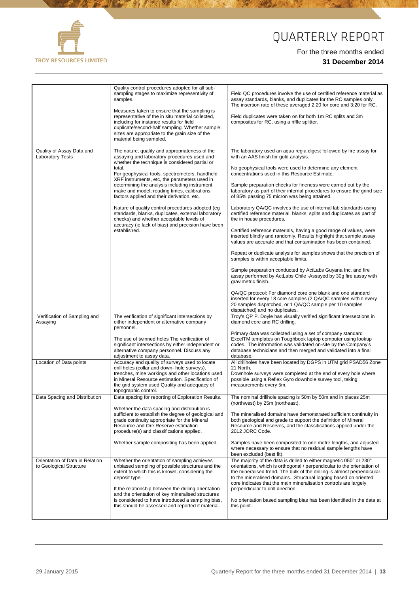

**A STATE OF BUILDING** 

# QUARTERLY REPORT

|                                                            | Quality control procedures adopted for all sub-<br>sampling stages to maximize representivity of<br>samples.<br>Measures taken to ensure that the sampling is<br>representative of the in situ material collected,<br>including for instance results for field<br>duplicate/second-half sampling. Whether sample<br>sizes are appropriate to the grain size of the<br>material being sampled. | Field QC procedures involve the use of certified reference material as<br>assay standards, blanks, and duplicates for the RC samples only.<br>The insertion rate of these averaged 2:20 for core and 3:20 for RC.<br>Field duplicates were taken on for both 1m RC splits and 3m<br>composites for RC, using a riffle splitter.                                                                                                                                                                |
|------------------------------------------------------------|-----------------------------------------------------------------------------------------------------------------------------------------------------------------------------------------------------------------------------------------------------------------------------------------------------------------------------------------------------------------------------------------------|------------------------------------------------------------------------------------------------------------------------------------------------------------------------------------------------------------------------------------------------------------------------------------------------------------------------------------------------------------------------------------------------------------------------------------------------------------------------------------------------|
| Quality of Assay Data and                                  | The nature, quality and appropriateness of the                                                                                                                                                                                                                                                                                                                                                | The laboratory used an aqua regia digest followed by fire assay for                                                                                                                                                                                                                                                                                                                                                                                                                            |
| <b>Laboratory Tests</b>                                    | assaying and laboratory procedures used and<br>whether the technique is considered partial or<br>total.<br>For geophysical tools, spectrometers, handheld<br>XRF instruments, etc, the parameters used in<br>determining the analysis including instrument<br>make and model, reading times, calibrations                                                                                     | with an AAS finish for gold analysis.<br>No geophysical tools were used to determine any element<br>concentrations used in this Resource Estimate.<br>Sample preparation checks for fineness were carried out by the<br>laboratory as part of their internal procedures to ensure the grind size                                                                                                                                                                                               |
|                                                            | factors applied and their derivation, etc.<br>Nature of quality control procedures adopted (eg<br>standards, blanks, duplicates, external laboratory<br>checks) and whether acceptable levels of                                                                                                                                                                                              | of 85% passing 75 micron was being attained.<br>Laboratory QA/QC involves the use of internal lab standards using<br>certified reference material, blanks, splits and duplicates as part of<br>the in house procedures.                                                                                                                                                                                                                                                                        |
|                                                            | accuracy (ie lack of bias) and precision have been<br>established.                                                                                                                                                                                                                                                                                                                            | Certified reference materials, having a good range of values, were<br>inserted blindly and randomly. Results highlight that sample assay<br>values are accurate and that contamination has been contained.                                                                                                                                                                                                                                                                                     |
|                                                            |                                                                                                                                                                                                                                                                                                                                                                                               | Repeat or duplicate analysis for samples shows that the precision of<br>samples is within acceptable limits.                                                                                                                                                                                                                                                                                                                                                                                   |
|                                                            |                                                                                                                                                                                                                                                                                                                                                                                               | Sample preparation conducted by ActLabs Guyana Inc. and fire<br>assay performed by ActLabs Chile -Assayed by 30g fire assay with<br>gravimetric finish.                                                                                                                                                                                                                                                                                                                                        |
|                                                            |                                                                                                                                                                                                                                                                                                                                                                                               | QA/QC protocol: For diamond core one blank and one standard<br>inserted for every 18 core samples (2 QA/QC samples within every<br>20 samples dispatched, or 1 QA/QC sample per 10 samples<br>dispatched) and no duplicates.                                                                                                                                                                                                                                                                   |
| Verification of Sampling and<br>Assaying                   | The verification of significant intersections by<br>either independent or alternative company<br>personnel.                                                                                                                                                                                                                                                                                   | Troy's QP P. Doyle has visually verified significant intersections in<br>diamond core and RC drilling.                                                                                                                                                                                                                                                                                                                                                                                         |
|                                                            | The use of twinned holes The verification of<br>significant intersections by either independent or<br>alternative company personnel. Discuss any<br>adjustment to assay data.                                                                                                                                                                                                                 | Primary data was collected using a set of company standard<br>ExcelTM templates on Toughbook laptop computer using lookup<br>codes. The information was validated on-site by the Company's<br>database technicians and then merged and validated into a final<br>database.                                                                                                                                                                                                                     |
| Location of Data points                                    | Accuracy and quality of surveys used to locate<br>drill holes (collar and down- hole surveys),<br>trenches, mine workings and other locations used<br>in Mineral Resource estimation. Specification of<br>the grid system used Quality and adequacy of<br>topographic control.                                                                                                                | All drillholes have been located by DGPS in UTM grid PSAD56 Zone<br>21 North.<br>Downhole surveys were completed at the end of every hole where<br>possible using a Reflex Gyro downhole survey tool, taking<br>measurements every 5m.                                                                                                                                                                                                                                                         |
| Data Spacing and Distribution                              | Data spacing for reporting of Exploration Results.                                                                                                                                                                                                                                                                                                                                            | The nominal drillhole spacing is 50m by 50m and in places 25m<br>(northwest) by 25m (northeast).                                                                                                                                                                                                                                                                                                                                                                                               |
|                                                            | Whether the data spacing and distribution is<br>sufficient to establish the degree of geological and<br>grade continuity appropriate for the Mineral<br>Resource and Ore Reserve estimation<br>procedure(s) and classifications applied.                                                                                                                                                      | The mineralised domains have demonstrated sufficient continuity in<br>both geological and grade to support the definition of Mineral<br>Resource and Reserves, and the classifications applied under the<br>2012 JORC Code.                                                                                                                                                                                                                                                                    |
|                                                            | Whether sample compositing has been applied.                                                                                                                                                                                                                                                                                                                                                  | Samples have been composited to one metre lengths, and adjusted<br>where necessary to ensure that no residual sample lengths have<br>been excluded (best fit).                                                                                                                                                                                                                                                                                                                                 |
| Orientation of Data in Relation<br>to Geological Structure | Whether the orientation of sampling achieves<br>unbiased sampling of possible structures and the<br>extent to which this is known, considering the<br>deposit type.<br>If the relationship between the drilling orientation<br>and the orientation of key mineralised structures<br>is considered to have introduced a sampling bias,<br>this should be assessed and reported if material.    | The majority of the data is drilled to either magnetic 050° or 230°<br>orientations, which is orthogonal / perpendicular to the orientation of<br>the mineralised trend. The bulk of the drilling is almost perpendicular<br>to the mineralised domains. Structural logging based on oriented<br>core indicates that the main mineralisation controls are largely<br>perpendicular to drill direction.<br>No orientation based sampling bias has been identified in the data at<br>this point. |
|                                                            |                                                                                                                                                                                                                                                                                                                                                                                               |                                                                                                                                                                                                                                                                                                                                                                                                                                                                                                |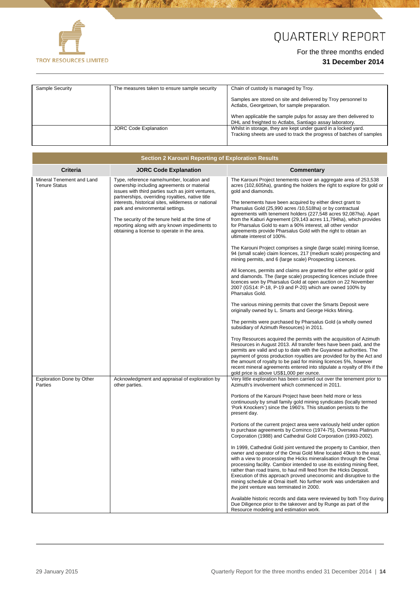

**The Committee of the Committee of the Committee of the Committee of the Committee of the Committee of the Committee of the Committee of the Committee of the Committee of the Committee of the Committee of the Committee of** 

# QUARTERLY REPORT

#### For the three months ended **31 December 2014**

| Sample Security | The measures taken to ensure sample security | Chain of custody is managed by Troy.                                                                                                   |
|-----------------|----------------------------------------------|----------------------------------------------------------------------------------------------------------------------------------------|
|                 |                                              | Samples are stored on site and delivered by Troy personnel to<br>Actlabs, Georgetown, for sample preparation.                          |
|                 |                                              | When applicable the sample pulps for assay are then delivered to<br>DHL and freighted to Actlabs, Santiago assay laboratory.           |
|                 | <b>JORC Code Explanation</b>                 | Whilst in storage, they are kept under guard in a locked yard.<br>Tracking sheets are used to track the progress of batches of samples |

70

|                                                   | Section 2 Karouni Reporting of Exploration Results                                                                                                                                                                                                                                                                                                                                                                                            |                                                                                                                                                                                                                                                                                                                                                                                                                                                                                                                                                                                                                                                                                                                                                                                                                                                                                                                                                                                                                                                                                                                                                                                                                                                                                                                                                                                                                                                                                                                                                                                                                                                                                                                                                                                                     |
|---------------------------------------------------|-----------------------------------------------------------------------------------------------------------------------------------------------------------------------------------------------------------------------------------------------------------------------------------------------------------------------------------------------------------------------------------------------------------------------------------------------|-----------------------------------------------------------------------------------------------------------------------------------------------------------------------------------------------------------------------------------------------------------------------------------------------------------------------------------------------------------------------------------------------------------------------------------------------------------------------------------------------------------------------------------------------------------------------------------------------------------------------------------------------------------------------------------------------------------------------------------------------------------------------------------------------------------------------------------------------------------------------------------------------------------------------------------------------------------------------------------------------------------------------------------------------------------------------------------------------------------------------------------------------------------------------------------------------------------------------------------------------------------------------------------------------------------------------------------------------------------------------------------------------------------------------------------------------------------------------------------------------------------------------------------------------------------------------------------------------------------------------------------------------------------------------------------------------------------------------------------------------------------------------------------------------------|
| Criteria                                          | <b>JORC Code Explanation</b>                                                                                                                                                                                                                                                                                                                                                                                                                  | <b>Commentary</b>                                                                                                                                                                                                                                                                                                                                                                                                                                                                                                                                                                                                                                                                                                                                                                                                                                                                                                                                                                                                                                                                                                                                                                                                                                                                                                                                                                                                                                                                                                                                                                                                                                                                                                                                                                                   |
| Mineral Tenement and Land<br><b>Tenure Status</b> | Type, reference name/number, location and<br>ownership including agreements or material<br>issues with third parties such as joint ventures,<br>partnerships, overriding royalties, native title<br>interests, historical sites, wilderness or national<br>park and environmental settings.<br>The security of the tenure held at the time of<br>reporting along with any known impediments to<br>obtaining a license to operate in the area. | The Karouni Project tenements cover an aggregate area of 253,538<br>acres (102,605ha), granting the holders the right to explore for gold or<br>gold and diamonds.<br>The tenements have been acquired by either direct grant to<br>Pharsalus Gold (25,990 acres /10,518ha) or by contractual<br>agreements with tenement holders (227,548 acres 92,087ha). Apart<br>from the Kaburi Agreement (29,143 acres 11,794ha), which provides<br>for Pharsalus Gold to earn a 90% interest, all other vendor<br>agreements provide Pharsalus Gold with the right to obtain an<br>ultimate interest of 100%.<br>The Karouni Project comprises a single (large scale) mining license,<br>94 (small scale) claim licences, 217 (medium scale) prospecting and<br>mining permits, and 6 (large scale) Prospecting Licences.<br>All licences, permits and claims are granted for either gold or gold<br>and diamonds. The (large scale) prospecting licences include three<br>licences won by Pharsalus Gold at open auction on 22 November<br>2007 (GS14: P-18, P-19 and P-20) which are owned 100% by<br>Pharsalus Gold.<br>The various mining permits that cover the Smarts Deposit were<br>originally owned by L. Smarts and George Hicks Mining.<br>The permits were purchased by Pharsalus Gold (a wholly owned<br>subsidiary of Azimuth Resources) in 2011.<br>Troy Resources acquired the permits with the acquisition of Azimuth<br>Resources in August 2013. All transfer fees have been paid, and the<br>permits are valid and up to date with the Guyanese authorities. The<br>payment of gross production royalties are provided for by the Act and<br>the amount of royalty to be paid for mining licences 5%, however<br>recent mineral agreements entered into stipulate a royalty of 8% if the |
| <b>Exploration Done by Other</b>                  | Acknowledgment and appraisal of exploration by                                                                                                                                                                                                                                                                                                                                                                                                | gold price is above US\$1,000 per ounce.<br>Very little exploration has been carried out over the tenement prior to                                                                                                                                                                                                                                                                                                                                                                                                                                                                                                                                                                                                                                                                                                                                                                                                                                                                                                                                                                                                                                                                                                                                                                                                                                                                                                                                                                                                                                                                                                                                                                                                                                                                                 |
| Parties                                           | other parties.                                                                                                                                                                                                                                                                                                                                                                                                                                | Azimuth's involvement which commenced in 2011.<br>Portions of the Karouni Project have been held more or less<br>continuously by small family gold mining syndicates (locally termed<br>'Pork Knockers') since the 1960's. This situation persists to the<br>present day.<br>Portions of the current project area were variously held under option<br>to purchase agreements by Cominco (1974-75), Overseas Platinum<br>Corporation (1988) and Cathedral Gold Corporation (1993-2002).<br>In 1999, Cathedral Gold joint ventured the property to Cambior, then<br>owner and operator of the Omai Gold Mine located 40km to the east,<br>with a view to processing the Hicks mineralisation through the Omai<br>processing facility. Cambior intended to use its existing mining fleet,<br>rather than road trains, to haul mill feed from the Hicks Deposit.<br>Execution of this approach proved uneconomic and disruptive to the<br>mining schedule at Omai itself. No further work was undertaken and<br>the joint venture was terminated in 2000.<br>Available historic records and data were reviewed by both Troy during<br>Due Diligence prior to the takeover and by Runge as part of the<br>Resource modeling and estimation work.                                                                                                                                                                                                                                                                                                                                                                                                                                                                                                                                                         |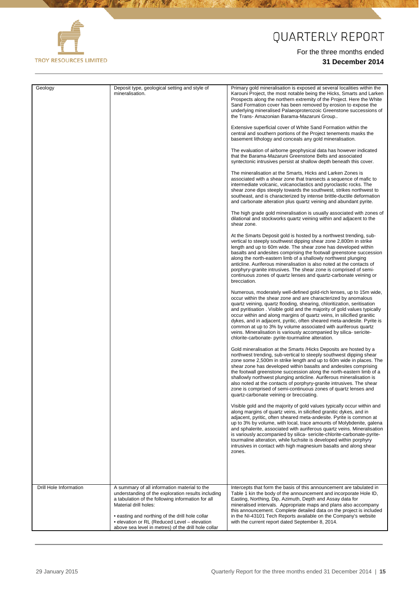

**A MARINE AND A MARINE AND A MARINE AND A MARINE AND A MARINE AND A MARINE AND A MARINE AND A MARINE AND A MARIN** 

美有效

70

# QUARTERLY REPORT

| Geology                | Deposit type, geological setting and style of<br>mineralisation.                                                                                                                                                                    | Primary gold mineralisation is exposed at several localities within the<br>Karouni Project, the most notable being the Hicks, Smarts and Larken<br>Prospects along the northern extremity of the Project. Here the White<br>Sand Formation cover has been removed by erosion to expose the<br>underlying mineralised Palaeoproterozoic Greenstone successions of<br>the Trans- Amazonian Barama-Mazaruni Group                                                                                                                                                                                                                                 |
|------------------------|-------------------------------------------------------------------------------------------------------------------------------------------------------------------------------------------------------------------------------------|------------------------------------------------------------------------------------------------------------------------------------------------------------------------------------------------------------------------------------------------------------------------------------------------------------------------------------------------------------------------------------------------------------------------------------------------------------------------------------------------------------------------------------------------------------------------------------------------------------------------------------------------|
|                        |                                                                                                                                                                                                                                     | Extensive superficial cover of White Sand Formation within the<br>central and southern portions of the Project tenements masks the<br>basement lithology and conceals any gold mineralisation.                                                                                                                                                                                                                                                                                                                                                                                                                                                 |
|                        |                                                                                                                                                                                                                                     | The evaluation of airborne geophysical data has however indicated<br>that the Barama-Mazaruni Greenstone Belts and associated<br>syntectonic intrusives persist at shallow depth beneath this cover.                                                                                                                                                                                                                                                                                                                                                                                                                                           |
|                        |                                                                                                                                                                                                                                     | The mineralisation at the Smarts, Hicks and Larken Zones is<br>associated with a shear zone that transects a sequence of mafic to<br>intermediate volcanic, volcanoclastics and pyroclastic rocks. The<br>shear zone dips steeply towards the southwest, strikes northwest to<br>southeast, and is characterized by intense brittle-ductile deformation<br>and carbonate alteration plus quartz veining and abundant pyrite.                                                                                                                                                                                                                   |
|                        |                                                                                                                                                                                                                                     | The high grade gold mineralisation is usually associated with zones of<br>dilational and stockworks quartz veining within and adjacent to the<br>shear zone.                                                                                                                                                                                                                                                                                                                                                                                                                                                                                   |
|                        |                                                                                                                                                                                                                                     | At the Smarts Deposit gold is hosted by a northwest trending, sub-<br>vertical to steeply southwest dipping shear zone 2,800m in strike<br>length and up to 60m wide. The shear zone has developed within<br>basalts and andesites comprising the footwall greenstone succession<br>along the north-eastern limb of a shallowly northwest plunging<br>anticline. Auriferous mineralisation is also noted at the contacts of<br>porphyry-granite intrusives. The shear zone is comprised of semi-<br>continuous zones of quartz lenses and quartz-carbonate veining or<br>brecciation.                                                          |
|                        |                                                                                                                                                                                                                                     | Numerous, moderately well-defined gold-rich lenses, up to 15m wide,<br>occur within the shear zone and are characterized by anomalous<br>quartz veining, quartz flooding, shearing, chloritization, seritisation<br>and pyritisation. Visible gold and the majority of gold values typically<br>occur within and along margins of quartz veins, in silicified granitic<br>dykes, and in adjacent, pyritic, often sheared meta-andesite. Pyrite is<br>common at up to 3% by volume associated with auriferous quartz<br>veins. Mineralisation is variously accompanied by silica-sericite-<br>chlorite-carbonate- pyrite-tourmaline alteration. |
|                        |                                                                                                                                                                                                                                     | Gold mineralisation at the Smarts / Hicks Deposits are hosted by a<br>northwest trending, sub-vertical to steeply southwest dipping shear<br>zone some 2,500m in strike length and up to 60m wide in places. The<br>shear zone has developed within basalts and andesites comprising<br>the footwall greenstone succession along the north-eastern limb of a<br>shallowly northwest plunging anticline. Auriferous mineralisation is<br>also noted at the contacts of porphyry-granite intrusives. The shear<br>zone is comprised of semi-continuous zones of quartz lenses and<br>quartz-carbonate veining or brecciating.                    |
|                        |                                                                                                                                                                                                                                     | Visible gold and the majority of gold values typically occur within and<br>along margins of quartz veins, in silicified granitic dykes, and in<br>adjacent, pyritic, often sheared meta-andesite. Pyrite is common at<br>up to 3% by volume, with local, trace amounts of Molybdenite, galena<br>and sphalerite, associated with auriferous quartz veins. Mineralisation<br>is variously accompanied by silica-sericite-chlorite-carbonate-pyrite-<br>tourmaline alteration, while fuchsite is developed within porphyry<br>intrusives in contact with high magnesium basalts and along shear<br>zones.                                        |
|                        |                                                                                                                                                                                                                                     |                                                                                                                                                                                                                                                                                                                                                                                                                                                                                                                                                                                                                                                |
| Drill Hole Information | A summary of all information material to the<br>understanding of the exploration results including<br>a tabulation of the following information for all<br>Material drill holes:<br>• easting and northing of the drill hole collar | Intercepts that form the basis of this announcement are tabulated in<br>Table 1 kin the body of the announcement and incorporate Hole ID,<br>Easting, Northing, Dip, Azimuth, Depth and Assay data for<br>mineralised intervals. Appropriate maps and plans also accompany<br>this announcement. Complete detailed data on the project is included<br>in the NI-43101 Tech Reports available on the Company's website                                                                                                                                                                                                                          |
|                        | · elevation or RL (Reduced Level - elevation<br>above sea level in metres) of the drill hole collar                                                                                                                                 | with the current report dated September 8, 2014.                                                                                                                                                                                                                                                                                                                                                                                                                                                                                                                                                                                               |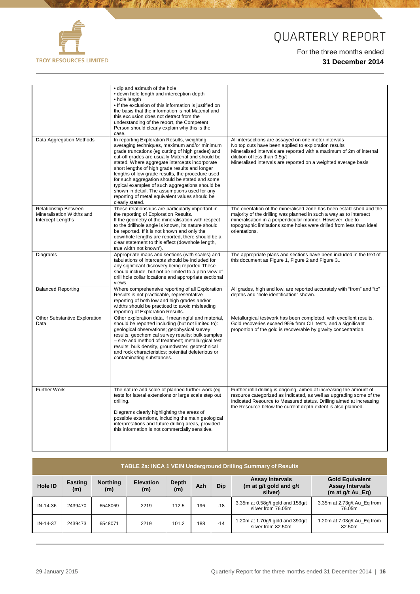

**A CONTRACTOR** 

# QUARTERLY REPORT

|                                                                        | • dip and azimuth of the hole<br>· down hole length and interception depth<br>• hole length<br>. If the exclusion of this information is justified on<br>the basis that the information is not Material and<br>this exclusion does not detract from the<br>understanding of the report, the Competent<br>Person should clearly explain why this is the<br>case.                                                                                                                                                                                                                          |                                                                                                                                                                                                                                                                                                  |
|------------------------------------------------------------------------|------------------------------------------------------------------------------------------------------------------------------------------------------------------------------------------------------------------------------------------------------------------------------------------------------------------------------------------------------------------------------------------------------------------------------------------------------------------------------------------------------------------------------------------------------------------------------------------|--------------------------------------------------------------------------------------------------------------------------------------------------------------------------------------------------------------------------------------------------------------------------------------------------|
| Data Aggregation Methods                                               | In reporting Exploration Results, weighting<br>averaging techniques, maximum and/or minimum<br>grade truncations (eg cutting of high grades) and<br>cut-off grades are usually Material and should be<br>stated. Where aggregate intercepts incorporate<br>short lengths of high grade results and longer<br>lengths of low grade results, the procedure used<br>for such aggregation should be stated and some<br>typical examples of such aggregations should be<br>shown in detail. The assumptions used for any<br>reporting of metal equivalent values should be<br>clearly stated. | All intersections are assayed on one meter intervals<br>No top cuts have been applied to exploration results<br>Mineralised intervals are reported with a maximum of 2m of internal<br>dilution of less than 0.5q/t<br>Mineralised intervals are reported on a weighted average basis            |
| Relationship Between<br>Mineralisation Widths and<br>Intercept Lengths | These relationships are particularly important in<br>the reporting of Exploration Results.<br>If the geometry of the mineralisation with respect<br>to the drillhole angle is known, its nature should<br>be reported. If it is not known and only the<br>downhole lengths are reported, there should be a<br>clear statement to this effect (downhole length,<br>true width not known').                                                                                                                                                                                                | The orientation of the mineralised zone has been established and the<br>majority of the drilling was planned in such a way as to intersect<br>mineralisation in a perpendicular manner. However, due to<br>topographic limitations some holes were drilled from less than ideal<br>orientations. |
| Diagrams                                                               | Appropriate maps and sections (with scales) and<br>tabulations of intercepts should be included for<br>any significant discovery being reported These<br>should include, but not be limited to a plan view of<br>drill hole collar locations and appropriate sectional<br>views.                                                                                                                                                                                                                                                                                                         | The appropriate plans and sections have been included in the text of<br>this document as Figure 1, Figure 2 and Figure 3                                                                                                                                                                         |
| <b>Balanced Reporting</b>                                              | Where comprehensive reporting of all Exploration<br>Results is not practicable, representative<br>reporting of both low and high grades and/or<br>widths should be practiced to avoid misleading<br>reporting of Exploration Results.                                                                                                                                                                                                                                                                                                                                                    | All grades, high and low, are reported accurately with "from" and "to"<br>depths and "hole identification" shown.                                                                                                                                                                                |
| <b>Other Substantive Exploration</b><br>Data                           | Other exploration data, if meaningful and material,<br>should be reported including (but not limited to):<br>geological observations; geophysical survey<br>results; geochemical survey results; bulk samples<br>- size and method of treatment; metallurgical test<br>results; bulk density, groundwater, geotechnical<br>and rock characteristics; potential deleterious or<br>contaminating substances.                                                                                                                                                                               | Metallurgical testwork has been completed, with excellent results.<br>Gold recoveries exceed 95% from CIL tests, and a significant<br>proportion of the gold is recoverable by gravity concentration.                                                                                            |
| <b>Further Work</b>                                                    | The nature and scale of planned further work (eg<br>tests for lateral extensions or large scale step out<br>drilling.<br>Diagrams clearly highlighting the areas of<br>possible extensions, including the main geological<br>interpretations and future drilling areas, provided<br>this information is not commercially sensitive.                                                                                                                                                                                                                                                      | Further infill drilling is ongoing, aimed at increasing the amount of<br>resource categorized as Indicated, as well as upgrading some of the<br>Indicated Resource to Measured status. Drilling aimed at increasing<br>the Resource below the current depth extent is also planned.              |

| <b>TABLE 2a: INCA 1 VEIN Underground Drilling Summary of Results</b> |                |                        |                         |                     |     |       |                                                             |                                                                        |
|----------------------------------------------------------------------|----------------|------------------------|-------------------------|---------------------|-----|-------|-------------------------------------------------------------|------------------------------------------------------------------------|
| <b>Hole ID</b>                                                       | Easting<br>(m) | <b>Northing</b><br>(m) | <b>Elevation</b><br>(m) | <b>Depth</b><br>(m) | Azh | Dip   | <b>Assay Intervals</b><br>(m at g/t gold and g/t<br>silver) | <b>Gold Equivalent</b><br><b>Assay Intervals</b><br>(m at $q/t$ Au Eq) |
| IN-14-36                                                             | 2439470        | 6548069                | 2219                    | 112.5               | 196 | $-18$ | 3.35m at 0.58g/t gold and 158g/t<br>silver from 76.05m      | 3.35m at 2.73g/t Au_Eq from<br>76.05m                                  |
| IN-14-37                                                             | 2439473        | 6548071                | 2219                    | 101.2               | 188 | $-14$ | 1.20m at 1.70g/t gold and 390g/t<br>silver from 82.50m      | 1.20m at 7.03g/t Au_Eq from<br>82.50m                                  |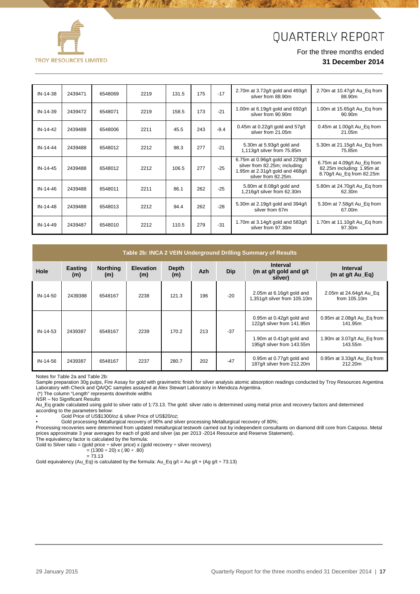



| IN-14-38 | 2439471 | 6548069 | 2219 | 131.5 | 175 | $-17$  | 2.70m at 3.72g/t gold and 493g/t<br>silver from 88.90m                                                                        | 2.70m at 10.47g/t Au_Eq from<br>88.90m                                                 |
|----------|---------|---------|------|-------|-----|--------|-------------------------------------------------------------------------------------------------------------------------------|----------------------------------------------------------------------------------------|
| IN-14-39 | 2439472 | 6548071 | 2219 | 158.5 | 173 | $-21$  | 1.00m at 6.19g/t gold and 692g/t<br>silver from 90.90m                                                                        | 1.00m at 15.65g/t Au_Eq from<br>90.90m                                                 |
| IN-14-42 | 2439488 | 6548006 | 2211 | 45.5  | 243 | $-9.4$ | 0.45m at 0.22g/t gold and $57g/t$<br>silver from 21.05m                                                                       | 0.45 $m$ at 1.00g/t Au_Eq from<br>21.05m                                               |
| IN-14-44 | 2439488 | 6548012 | 2212 | 98.3  | 277 | $-21$  | 5.30m at 5.93g/t gold and<br>1,113q/t silver from 75.85m                                                                      | 5.30m at 21.15g/t Au_Eq from<br>75.85m                                                 |
| IN-14-45 | 2439488 | 6548012 | 2212 | 106.5 | 277 | $-25$  | 6.75m at 0.96g/t gold and 229g/t<br>silver from 82.25m; including:<br>1.95m at 2.31g/t gold and 468g/t<br>silver from 82.25m. | 6.75m at 4.09q/t Au Eq from<br>82.25m including: 1.95m at<br>8.70g/t Au_Eq from 82.25m |
| IN-14-46 | 2439488 | 6548011 | 2211 | 86.1  | 262 | $-25$  | 5.80m at 8.08g/t gold and<br>1,216q/t silver from 62.30m                                                                      | 5.80m at 24.70g/t Au_Eq from<br>62.30m                                                 |
| IN-14-48 | 2439488 | 6548013 | 2212 | 94.4  | 262 | $-28$  | 5.30m at 2.19g/t gold and 394g/t<br>silver from 67m                                                                           | 5.30m at 7.58g/t Au_Eq from<br>67.00m                                                  |
| IN-14-49 | 2439487 | 6548010 | 2212 | 110.5 | 279 | $-31$  | 1.70m at 3.14g/t gold and 583g/t<br>silver from 97.30m                                                                        | 1.70m at 11.10g/t Au_Eq from<br>97.30m                                                 |

| Table 2b: INCA 2 VEIN Underground Drilling Summary of Results |                |                        |                         |              |            |            |                                                             |                                         |
|---------------------------------------------------------------|----------------|------------------------|-------------------------|--------------|------------|------------|-------------------------------------------------------------|-----------------------------------------|
| Hole                                                          | Easting<br>(m) | <b>Northing</b><br>(m) | <b>Elevation</b><br>(m) | Depth<br>(m) | <b>Azh</b> | <b>Dip</b> | <b>Interval</b><br>(m at g/t gold and g/t<br>silver)        | <b>Interval</b><br>(m at $g/t$ Au Eq)   |
| IN-14-50                                                      | 2439388        | 6548167                | 2238                    | 121.3        | 196        | $-20$      | 2.05m at 6.16g/t gold and<br>1,351g/t silver from 105.10m   | 2.05m at 24.64g/t Au_Eq<br>from 105.10m |
| IN-14-53                                                      | 2439387        | 6548167                | 2239                    | 170.2        | 213        |            | $0.95m$ at $0.42q/t$ gold and<br>122g/t silver from 141.95m | 0.95m at 2.08g/t Au_Eq from<br>141.95m  |
|                                                               |                |                        |                         |              |            | $-37$      | 1.90m at 0.41g/t gold and<br>195g/t silver from 143.55m     | 1.90m at 3.07g/t Au_Eq from<br>143.55m  |
| IN-14-56                                                      | 2439387        | 6548167                | 2237                    | 280.7        | 202        | $-47$      | 0.95m at 0.77g/t gold and<br>187q/t silver from 212.20m     | 0.95m at 3.33g/t Au_Eq from<br>212.20m  |

Notes for Table 2a and Table 2b:

Sample preparation 30g pulps, Fire Assay for gold with gravimetric finish for silver analysis atomic absorption readings conducted by Troy Resources Argentina Laboratory with Check and QA/QC samples assayed at Alex Stewart Laboratory in Mendoza Argentina.

(\*) The column "Length" represents downhole widths

NSR – No Significant Results

Au\_Eq grade calculated using gold to silver ratio of 1:73.13. The gold: silver ratio is determined using metal price and recovery factors and determined according to the parameters below:

• Gold Price of US\$1300/oz & silver Price of US\$20/oz;

• Gold processing Metallurgical recovery of 90% and silver processing Metallurgical recovery of 80%;

Processing recoveries were determined from updated metallurgical testwork carried out by independent consultants on diamond drill core from Casposo. Metal prices approximate 3 year averages for each of gold and silver (as per 2013 -2014 Resource and Reserve Statement).

The equivalency factor is calculated by the formula:

Gold to Silver ratio = (gold price ÷ silver price) x (gold recovery ÷ silver recovery)

= (1300 ÷ 20) x (.90 ÷ .80)  $= 73.13$ 

Gold equivalency (Au\_Eq) is calculated by the formula: Au\_Eq  $g/t = Au g/t + (Ag g/t \div 73.13)$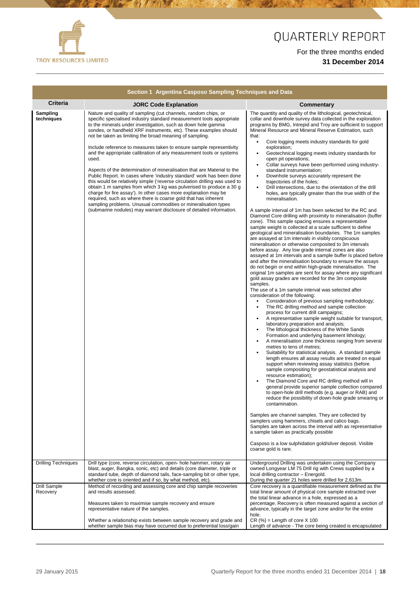

**The Committee of the Committee of the Committee of the Committee of the Committee of the Committee of the Committee of the Committee of the Committee of the Committee of the Committee of the Committee of the Committee of** 

あまる

 $\mathcal{A}$ 

# QUARTERLY REPORT

|                            | Section 1 Argentina Casposo Sampling Techniques and Data                                                                                                                                                                                                                                                                                                                                                                                                                                                                                                                                                                                        |                                                                                                                                                                                                                                                                                                                                                                                                                                                                                                                                                           |
|----------------------------|-------------------------------------------------------------------------------------------------------------------------------------------------------------------------------------------------------------------------------------------------------------------------------------------------------------------------------------------------------------------------------------------------------------------------------------------------------------------------------------------------------------------------------------------------------------------------------------------------------------------------------------------------|-----------------------------------------------------------------------------------------------------------------------------------------------------------------------------------------------------------------------------------------------------------------------------------------------------------------------------------------------------------------------------------------------------------------------------------------------------------------------------------------------------------------------------------------------------------|
| <b>Criteria</b>            | <b>JORC Code Explanation</b>                                                                                                                                                                                                                                                                                                                                                                                                                                                                                                                                                                                                                    | <b>Commentary</b>                                                                                                                                                                                                                                                                                                                                                                                                                                                                                                                                         |
| Sampling<br>techniques     | Nature and quality of sampling (cut channels, random chips, or<br>specific specialised industry standard measurement tools appropriate<br>to the minerals under investigation, such as down hole gamma<br>sondes, or handheld XRF instruments, etc). These examples should<br>not be taken as limiting the broad meaning of sampling.<br>Include reference to measures taken to ensure sample representivity<br>and the appropriate calibration of any measurement tools or systems<br>used.<br>Aspects of the determination of mineralisation that are Material to the<br>Public Report. In cases where 'industry standard' work has been done | The quantity and quality of the lithological, geotechnical,<br>collar and downhole survey data collected in the exploration<br>programs by BMG, Intrepid and Troy are sufficient to support<br>Mineral Resource and Mineral Reserve Estimation, such<br>that:<br>$\bullet$<br>Core logging meets industry standards for gold<br>exploration;<br>Geotechnical logging meets industry standards for<br>open pit operations;<br>Collar surveys have been performed using industry-<br>standard instrumentation;<br>Downhole surveys accurately represent the |
|                            | this would be relatively simple ('reverse circulation drilling was used to<br>obtain 1 m samples from which 3 kg was pulverised to produce a 30 g<br>charge for fire assay'). In other cases more explanation may be<br>required, such as where there is coarse gold that has inherent<br>sampling problems. Unusual commodities or mineralisation types<br>(submarine nodules) may warrant disclosure of detailed information.                                                                                                                                                                                                                 | trajectories of the holes;<br>Drill intersections, due to the orientation of the drill<br>holes, are typically greater than the true width of the<br>mineralisation.<br>A sample interval of 1m has been selected for the RC and<br>Diamond Core drilling with proximity to mineralisation (buffer<br>zone). This sample spacing ensures a representative                                                                                                                                                                                                 |
|                            |                                                                                                                                                                                                                                                                                                                                                                                                                                                                                                                                                                                                                                                 | sample weight is collected at a scale sufficient to define<br>geological and mineralisation boundaries. The 1m samples<br>are assayed at 1m intervals in visibly conspicuous<br>mineralisation or otherwise composited to 3m intervals<br>before assay. Any low grade internal zones are also<br>assayed at 1m intervals and a sample buffer is placed before<br>and after the mineralisation boundary to ensure the assays                                                                                                                               |
|                            |                                                                                                                                                                                                                                                                                                                                                                                                                                                                                                                                                                                                                                                 | do not begin or end within high-grade mineralisation. The<br>original 1m samples are sent for assay where any significant<br>gold assay grades are recorded for the 3m composite<br>samples.<br>The use of a 1m sample interval was selected after<br>consideration of the following:<br>Consideration of previous sampling methodology;                                                                                                                                                                                                                  |
|                            |                                                                                                                                                                                                                                                                                                                                                                                                                                                                                                                                                                                                                                                 | The RC drilling method and sample collection<br>$\bullet$<br>process for current drill campaigns;<br>A representative sample weight suitable for transport,<br>laboratory preparation and analysis;<br>The lithological thickness of the White Sands<br>Formation and underlying basement lithology;<br>A mineralisation zone thickness ranging from several<br>$\bullet$<br>metres to tens of metres;                                                                                                                                                    |
|                            |                                                                                                                                                                                                                                                                                                                                                                                                                                                                                                                                                                                                                                                 | Suitability for statistical analysis. A standard sample<br>length ensures all assay results are treated on equal<br>support when reviewing assay statistics (before<br>sample compositing for geostatistical analysis and<br>resource estimation);<br>The Diamond Core and RC drilling method will in<br>general provide superior sample collection compared<br>to open-hole drill methods (e.g. auger or RAB) and<br>reduce the possibility of down-hole grade smearing or                                                                               |
|                            |                                                                                                                                                                                                                                                                                                                                                                                                                                                                                                                                                                                                                                                 | contamination.<br>Samples are channel samples. They are collected by<br>samplers using hammers, chisels and calico bags.<br>Samples are taken across the interval with as representative<br>a sample taken as practically possible                                                                                                                                                                                                                                                                                                                        |
|                            |                                                                                                                                                                                                                                                                                                                                                                                                                                                                                                                                                                                                                                                 | Casposo is a low sulphidation gold/silver deposit. Visible<br>coarse gold is rare.                                                                                                                                                                                                                                                                                                                                                                                                                                                                        |
| <b>Drilling Techniques</b> | Drill type (core, reverse circulation, open- hole hammer, rotary air<br>blast, auger, Bangka, sonic, etc) and details (core diameter, triple or<br>standard tube, depth of diamond tails, face-sampling bit or other type,<br>whether core is oriented and if so, by what method, etc).                                                                                                                                                                                                                                                                                                                                                         | Underground Drilling was undertaken using the Company<br>owned Longyear LM 75 Drill rig with Crews supplied by a<br>local drilling contractor - Energold.<br>During the quarter 21 holes were drilled for 2,613m.                                                                                                                                                                                                                                                                                                                                         |
| Drill Sample<br>Recovery   | Method of recording and assessing core and chip sample recoveries<br>and results assessed.                                                                                                                                                                                                                                                                                                                                                                                                                                                                                                                                                      | Core recovery is a quantifiable measurement defined as the<br>total linear amount of physical core sample extracted over<br>the total linear advance in a hole, expressed as a                                                                                                                                                                                                                                                                                                                                                                            |
|                            | Measures taken to maximise sample recovery and ensure<br>representative nature of the samples.                                                                                                                                                                                                                                                                                                                                                                                                                                                                                                                                                  | percentage. Recovery is often measured against a section of<br>advance, typically in the target zone and/or for the entire<br>hole.                                                                                                                                                                                                                                                                                                                                                                                                                       |
|                            | Whether a relationship exists between sample recovery and grade and<br>whether sample bias may have occurred due to preferential loss/gain                                                                                                                                                                                                                                                                                                                                                                                                                                                                                                      | $CR (%) = Length of core X 100$<br>Length of advance - The core being created is encapsulated                                                                                                                                                                                                                                                                                                                                                                                                                                                             |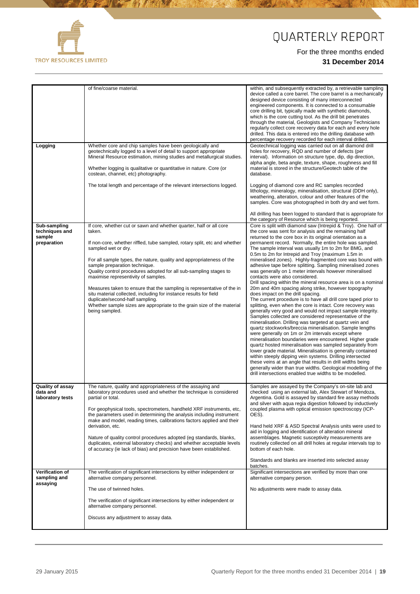

**All Committee Committee Committee Committee Committee Committee** 

# QUARTERLY REPORT

|                                                         | of fine/coarse material.                                                                                                                                                                                                                                                                                                                                                                                                                                                                                                                                                                                                                                                            | within, and subsequently extracted by, a retrievable sampling<br>device called a core barrel. The core barrel is a mechanically<br>designed device consisting of many interconnected<br>engineered components. It is connected to a consumable<br>core drilling bit, typically made with synthetic diamonds,<br>which is the core cutting tool. As the drill bit penetrates<br>through the material, Geologists and Company Technicians<br>regularly collect core recovery data for each and every hole<br>drilled. This data is entered into the drilling database with<br>percentage recovery recorded for each interval drilled.                                                                                                                                                                                                                                                                                                                                                                                                                                                                                                                                                                                                                                                                                                                                                                                                                                                                                                                                                                                                    |
|---------------------------------------------------------|-------------------------------------------------------------------------------------------------------------------------------------------------------------------------------------------------------------------------------------------------------------------------------------------------------------------------------------------------------------------------------------------------------------------------------------------------------------------------------------------------------------------------------------------------------------------------------------------------------------------------------------------------------------------------------------|----------------------------------------------------------------------------------------------------------------------------------------------------------------------------------------------------------------------------------------------------------------------------------------------------------------------------------------------------------------------------------------------------------------------------------------------------------------------------------------------------------------------------------------------------------------------------------------------------------------------------------------------------------------------------------------------------------------------------------------------------------------------------------------------------------------------------------------------------------------------------------------------------------------------------------------------------------------------------------------------------------------------------------------------------------------------------------------------------------------------------------------------------------------------------------------------------------------------------------------------------------------------------------------------------------------------------------------------------------------------------------------------------------------------------------------------------------------------------------------------------------------------------------------------------------------------------------------------------------------------------------------|
| Logging                                                 | Whether core and chip samples have been geologically and<br>geotechnically logged to a level of detail to support appropriate<br>Mineral Resource estimation, mining studies and metallurgical studies.<br>Whether logging is qualitative or quantitative in nature. Core (or<br>costean, channel, etc) photography.<br>The total length and percentage of the relevant intersections logged.                                                                                                                                                                                                                                                                                       | Geotechnical logging was carried out on all diamond drill<br>holes for recovery, RQD and number of defects (per<br>interval). Information on structure type, dip, dip direction,<br>alpha angle, beta angle, texture, shape, roughness and fill<br>material is stored in the structure/Geotech table of the<br>database.<br>Logging of diamond core and RC samples recorded<br>lithology, mineralogy, mineralisation, structural (DDH only),<br>weathering, alteration, colour and other features of the<br>samples. Core was photographed in both dry and wet form.<br>All drilling has been logged to standard that is appropriate for<br>the category of Resource which is being reported.                                                                                                                                                                                                                                                                                                                                                                                                                                                                                                                                                                                                                                                                                                                                                                                                                                                                                                                                          |
| Sub-sampling<br>techniques and<br>sample<br>preparation | If core, whether cut or sawn and whether quarter, half or all core<br>taken.<br>If non-core, whether riffled, tube sampled, rotary split, etc and whether<br>sampled wet or dry.<br>For all sample types, the nature, quality and appropriateness of the<br>sample preparation technique.<br>Quality control procedures adopted for all sub-sampling stages to<br>maximise representivity of samples.<br>Measures taken to ensure that the sampling is representative of the in<br>situ material collected, including for instance results for field<br>duplicate/second-half sampling.<br>Whether sample sizes are appropriate to the grain size of the material<br>being sampled. | Core is split with diamond saw (Intrepid & Troy). One half of<br>the core was sent for analysis and the remaining half<br>returned to the core box in its original orientation as a<br>permanent record. Normally, the entire hole was sampled.<br>The sample interval was usually 1m to 2m for BMG, and<br>0.5m to 2m for Intrepid and Troy (maximum 1.5m in<br>mineralised zones). Highly-fragmented core was bound with<br>adhesive tape before splitting. Sampling mineralised zones<br>was generally on 1 meter intervals however mineralised<br>contacts were also considered.<br>Drill spacing within the mineral resource area is on a nominal<br>20m and 40m spacing along strike, however topography<br>does impact on the drill spacing.<br>The current procedure is to have all drill core taped prior to<br>splitting, even when the core is intact. Core recovery was<br>generally very good and would not impact sample integrity.<br>Samples collected are considered representative of the<br>mineralisation. Drilling was targeted at quartz vein and<br>quartz stockworks/breccia mineralisation. Sample lengths<br>were generally on 1m or 2m intervals except where<br>mineralisation boundaries were encountered. Higher grade<br>quartz hosted mineralisation was sampled separately from<br>lower grade material. Mineralisation is generally contained<br>within steeply dipping vein systems. Drilling intersected<br>these veins at an angle that results in drill widths being<br>generally wider than true widths. Geological modelling of the<br>drill intersections enabled true widths to be modelled. |
| Quality of assay<br>data and<br>laboratory tests        | The nature, quality and appropriateness of the assaying and<br>laboratory procedures used and whether the technique is considered<br>partial or total.<br>For geophysical tools, spectrometers, handheld XRF instruments, etc,<br>the parameters used in determining the analysis including instrument<br>make and model, reading times, calibrations factors applied and their<br>derivation, etc.<br>Nature of quality control procedures adopted (eg standards, blanks,<br>duplicates, external laboratory checks) and whether acceptable levels<br>of accuracy (ie lack of bias) and precision have been established.                                                           | Samples are assayed by the Company's on-site lab and<br>checked using an external lab, Alex Stewart of Mendoza,<br>Argentina. Gold is assayed by standard fire assay methods<br>and silver with aqua regia digestion followed by inductively<br>coupled plasma with optical emission spectroscopy (ICP-<br>OES).<br>Hand held XRF & ASD Spectral Analysis units were used to<br>aid in logging and identification of alteration mineral<br>assemblages. Magnetic susceptivity measurements are<br>routinely collected on all drill holes at regular intervals top to<br>bottom of each hole.<br>Standards and blanks are inserted into selected assay<br>batches.                                                                                                                                                                                                                                                                                                                                                                                                                                                                                                                                                                                                                                                                                                                                                                                                                                                                                                                                                                      |
| <b>Verification of</b><br>sampling and<br>assaying      | The verification of significant intersections by either independent or<br>alternative company personnel.<br>The use of twinned holes.<br>The verification of significant intersections by either independent or<br>alternative company personnel.<br>Discuss any adjustment to assay data.                                                                                                                                                                                                                                                                                                                                                                                          | Significant intersections are verified by more than one<br>alternative company person.<br>No adjustments were made to assay data.                                                                                                                                                                                                                                                                                                                                                                                                                                                                                                                                                                                                                                                                                                                                                                                                                                                                                                                                                                                                                                                                                                                                                                                                                                                                                                                                                                                                                                                                                                      |
|                                                         |                                                                                                                                                                                                                                                                                                                                                                                                                                                                                                                                                                                                                                                                                     |                                                                                                                                                                                                                                                                                                                                                                                                                                                                                                                                                                                                                                                                                                                                                                                                                                                                                                                                                                                                                                                                                                                                                                                                                                                                                                                                                                                                                                                                                                                                                                                                                                        |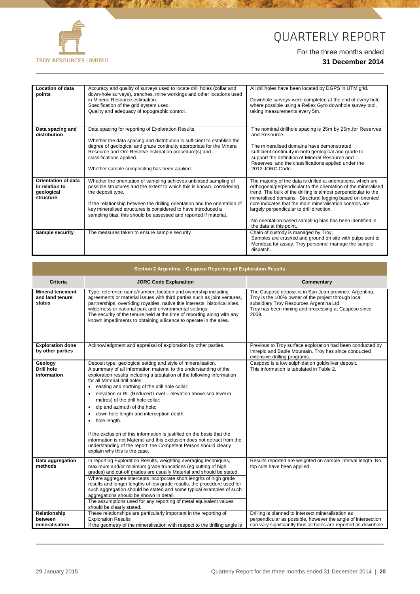

**AS** 

**EN REGISTER AND REGISTER** 

## QUARTERLY REPORT

| Location of data<br>points                                       | Accuracy and quality of surveys used to locate drill holes (collar and<br>down-hole surveys), trenches, mine workings and other locations used<br>in Mineral Resource estimation.<br>Specification of the grid system used.<br>Quality and adequacy of topographic control.                                                                                                          | All drillholes have been located by DGPS in UTM grid.<br>Downhole surveys were completed at the end of every hole<br>where possible using a Reflex Gyro downhole survey tool,<br>taking measurements every 5m.                                                                                                                                                                                                                                                   |
|------------------------------------------------------------------|--------------------------------------------------------------------------------------------------------------------------------------------------------------------------------------------------------------------------------------------------------------------------------------------------------------------------------------------------------------------------------------|------------------------------------------------------------------------------------------------------------------------------------------------------------------------------------------------------------------------------------------------------------------------------------------------------------------------------------------------------------------------------------------------------------------------------------------------------------------|
| Data spacing and<br>distribution                                 | Data spacing for reporting of Exploration Results.<br>Whether the data spacing and distribution is sufficient to establish the<br>degree of geological and grade continuity appropriate for the Mineral<br>Resource and Ore Reserve estimation procedure(s) and<br>classifications applied.<br>Whether sample compositing has been applied.                                          | The nominal drillhole spacing is 25m by 25m for Reserves<br>and Resource.<br>The mineralised domains have demonstrated<br>sufficient continuity in both geological and grade to<br>support the definition of Mineral Resource and<br>Reserves, and the classifications applied under the<br>2012 JORC Code.                                                                                                                                                      |
| Orientation of data<br>in relation to<br>geological<br>structure | Whether the orientation of sampling achieves unbiased sampling of<br>possible structures and the extent to which this is known, considering<br>the deposit type.<br>If the relationship between the drilling orientation and the orientation of<br>key mineralised structures is considered to have introduced a<br>sampling bias, this should be assessed and reported if material. | The majority of the data is drilled at orientations, which are<br>orthogonal/perpendicular to the orientation of the mineralised<br>trend. The bulk of the drilling is almost perpendicular to the<br>mineralised domains. Structural logging based on oriented<br>core indicates that the main mineralisation controls are<br>largely perpendicular to drill direction.<br>No orientation based sampling bias has been identified in<br>the data at this point. |
| <b>Sample security</b>                                           | The measures taken to ensure sample security                                                                                                                                                                                                                                                                                                                                         | Chain of custody is managed by Troy.<br>Samples are crushed and ground on site with pulps sent to<br>Mendoza for assay. Troy personnel manage the sample<br>dispatch.                                                                                                                                                                                                                                                                                            |

| Section 2 Argentina - Casposo Reporting of Exploration Results |                                                                                                                                                                                                                                                                                                                                                                                                                                                                                                                                                                                                                                                                                                                     |                                                                                                                                                                                                                             |  |  |  |  |
|----------------------------------------------------------------|---------------------------------------------------------------------------------------------------------------------------------------------------------------------------------------------------------------------------------------------------------------------------------------------------------------------------------------------------------------------------------------------------------------------------------------------------------------------------------------------------------------------------------------------------------------------------------------------------------------------------------------------------------------------------------------------------------------------|-----------------------------------------------------------------------------------------------------------------------------------------------------------------------------------------------------------------------------|--|--|--|--|
| <b>Criteria</b>                                                | <b>JORC Code Explanation</b>                                                                                                                                                                                                                                                                                                                                                                                                                                                                                                                                                                                                                                                                                        | Commentary                                                                                                                                                                                                                  |  |  |  |  |
| <b>Mineral tenement</b><br>and land tenure<br>status           | Type, reference name/number, location and ownership including<br>agreements or material issues with third parties such as joint ventures,<br>partnerships, overriding royalties, native title interests, historical sites,<br>wilderness or national park and environmental settings.<br>The security of the tenure held at the time of reporting along with any<br>known impediments to obtaining a licence to operate in the area.                                                                                                                                                                                                                                                                                | The Casposo deposit is in San Juan province, Argentina.<br>Troy is the 100% owner of the project through local<br>subsidiary Troy Resources Argentina Ltd.<br>Troy has been mining and processing at Casposo since<br>2009. |  |  |  |  |
| <b>Exploration done</b><br>by other parties                    | Acknowledgment and appraisal of exploration by other parties.                                                                                                                                                                                                                                                                                                                                                                                                                                                                                                                                                                                                                                                       | Previous to Troy surface exploration had been conducted by<br>Intrepid and Battle Mountain. Troy has since conducted<br>extensive drilling programs.                                                                        |  |  |  |  |
| Geology                                                        | Deposit type, geological setting and style of mineralisation.                                                                                                                                                                                                                                                                                                                                                                                                                                                                                                                                                                                                                                                       | Casposo is a low sulphidation gold/silver deposit.                                                                                                                                                                          |  |  |  |  |
| <b>Drill hole</b><br>information                               | A summary of all information material to the understanding of the<br>exploration results including a tabulation of the following information<br>for all Material drill holes:<br>• easting and northing of the drill hole collar;<br>elevation or RL (Reduced Level - elevation above sea level in<br>$\bullet$<br>metres) of the drill hole collar;<br>• dip and azimuth of the hole;<br>down hole length and interception depth;<br>hole length.<br>٠<br>If the exclusion of this information is justified on the basis that the<br>information is not Material and this exclusion does not detract from the<br>understanding of the report, the Competent Person should clearly<br>explain why this is the case. | This information is tabulated in Table 2.                                                                                                                                                                                   |  |  |  |  |
| Data aggregation<br>methods                                    | In reporting Exploration Results, weighting averaging techniques,<br>maximum and/or minimum grade truncations (eg cutting of high<br>grades) and cut-off grades are usually Material and should be stated.<br>Where aggregate intercepts incorporate short lengths of high grade<br>results and longer lengths of low grade results, the procedure used for<br>such aggregation should be stated and some typical examples of such<br>aggregations should be shown in detail.<br>The assumptions used for any reporting of metal equivalent values<br>should be clearly stated.                                                                                                                                     | Results reported are weighted on sample interval length. No<br>top cuts have been applied.                                                                                                                                  |  |  |  |  |
| Relationship<br>between                                        | These relationships are particularly important in the reporting of<br><b>Exploration Results</b>                                                                                                                                                                                                                                                                                                                                                                                                                                                                                                                                                                                                                    | Drilling is planned to intersect mineralisation as<br>perpendicular as possible, however the angle of intersection                                                                                                          |  |  |  |  |
| mineralisation                                                 | If the geometry of the mineralisation with respect to the drilling angle is                                                                                                                                                                                                                                                                                                                                                                                                                                                                                                                                                                                                                                         | can vary significantly thus all holes are reported as downhole                                                                                                                                                              |  |  |  |  |